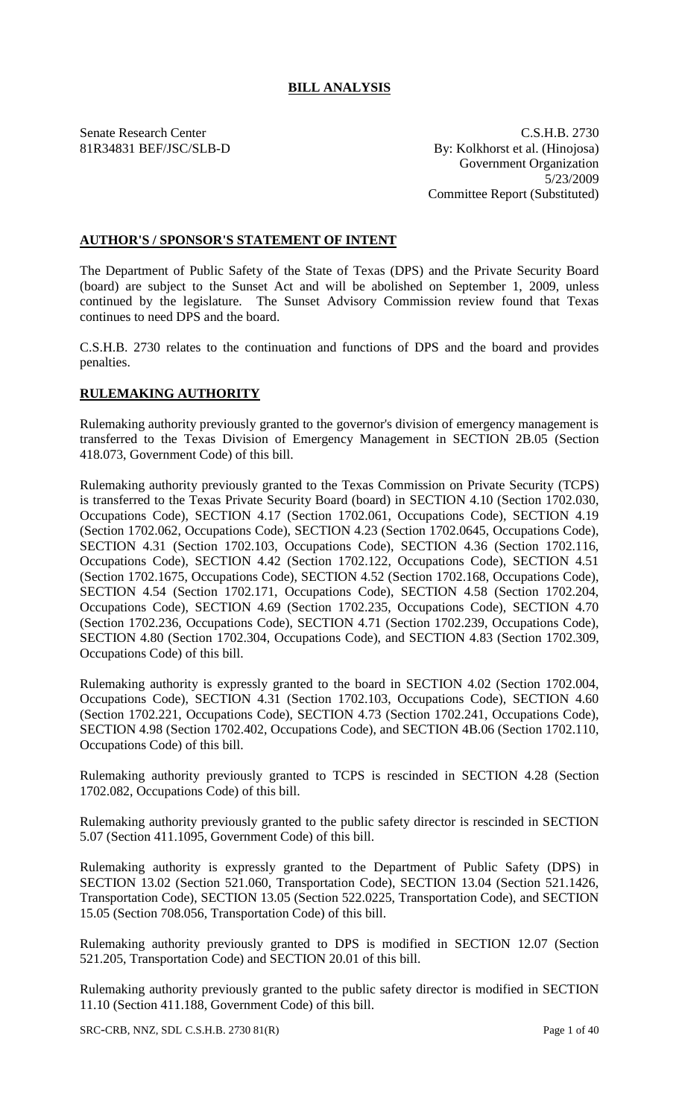# **BILL ANALYSIS**

Senate Research Center C.S.H.B. 2730 81R34831 BEF/JSC/SLB-D By: Kolkhorst et al. (Hinojosa) Government Organization 5/23/2009 Committee Report (Substituted)

# **AUTHOR'S / SPONSOR'S STATEMENT OF INTENT**

The Department of Public Safety of the State of Texas (DPS) and the Private Security Board (board) are subject to the Sunset Act and will be abolished on September 1, 2009, unless continued by the legislature. The Sunset Advisory Commission review found that Texas continues to need DPS and the board.

C.S.H.B. 2730 relates to the continuation and functions of DPS and the board and provides penalties.

# **RULEMAKING AUTHORITY**

Rulemaking authority previously granted to the governor's division of emergency management is transferred to the Texas Division of Emergency Management in SECTION 2B.05 (Section 418.073, Government Code) of this bill.

Rulemaking authority previously granted to the Texas Commission on Private Security (TCPS) is transferred to the Texas Private Security Board (board) in SECTION 4.10 (Section 1702.030, Occupations Code), SECTION 4.17 (Section 1702.061, Occupations Code), SECTION 4.19 (Section 1702.062, Occupations Code), SECTION 4.23 (Section 1702.0645, Occupations Code), SECTION 4.31 (Section 1702.103, Occupations Code), SECTION 4.36 (Section 1702.116, Occupations Code), SECTION 4.42 (Section 1702.122, Occupations Code), SECTION 4.51 (Section 1702.1675, Occupations Code), SECTION 4.52 (Section 1702.168, Occupations Code), SECTION 4.54 (Section 1702.171, Occupations Code), SECTION 4.58 (Section 1702.204, Occupations Code), SECTION 4.69 (Section 1702.235, Occupations Code), SECTION 4.70 (Section 1702.236, Occupations Code), SECTION 4.71 (Section 1702.239, Occupations Code), SECTION 4.80 (Section 1702.304, Occupations Code), and SECTION 4.83 (Section 1702.309, Occupations Code) of this bill.

Rulemaking authority is expressly granted to the board in SECTION 4.02 (Section 1702.004, Occupations Code), SECTION 4.31 (Section 1702.103, Occupations Code), SECTION 4.60 (Section 1702.221, Occupations Code), SECTION 4.73 (Section 1702.241, Occupations Code), SECTION 4.98 (Section 1702.402, Occupations Code), and SECTION 4B.06 (Section 1702.110, Occupations Code) of this bill.

Rulemaking authority previously granted to TCPS is rescinded in SECTION 4.28 (Section 1702.082, Occupations Code) of this bill.

Rulemaking authority previously granted to the public safety director is rescinded in SECTION 5.07 (Section 411.1095, Government Code) of this bill.

Rulemaking authority is expressly granted to the Department of Public Safety (DPS) in SECTION 13.02 (Section 521.060, Transportation Code), SECTION 13.04 (Section 521.1426, Transportation Code), SECTION 13.05 (Section 522.0225, Transportation Code), and SECTION 15.05 (Section 708.056, Transportation Code) of this bill.

Rulemaking authority previously granted to DPS is modified in SECTION 12.07 (Section 521.205, Transportation Code) and SECTION 20.01 of this bill.

Rulemaking authority previously granted to the public safety director is modified in SECTION 11.10 (Section 411.188, Government Code) of this bill.

SRC-CRB, NNZ, SDL C.S.H.B. 2730 81(R) Page 1 of 40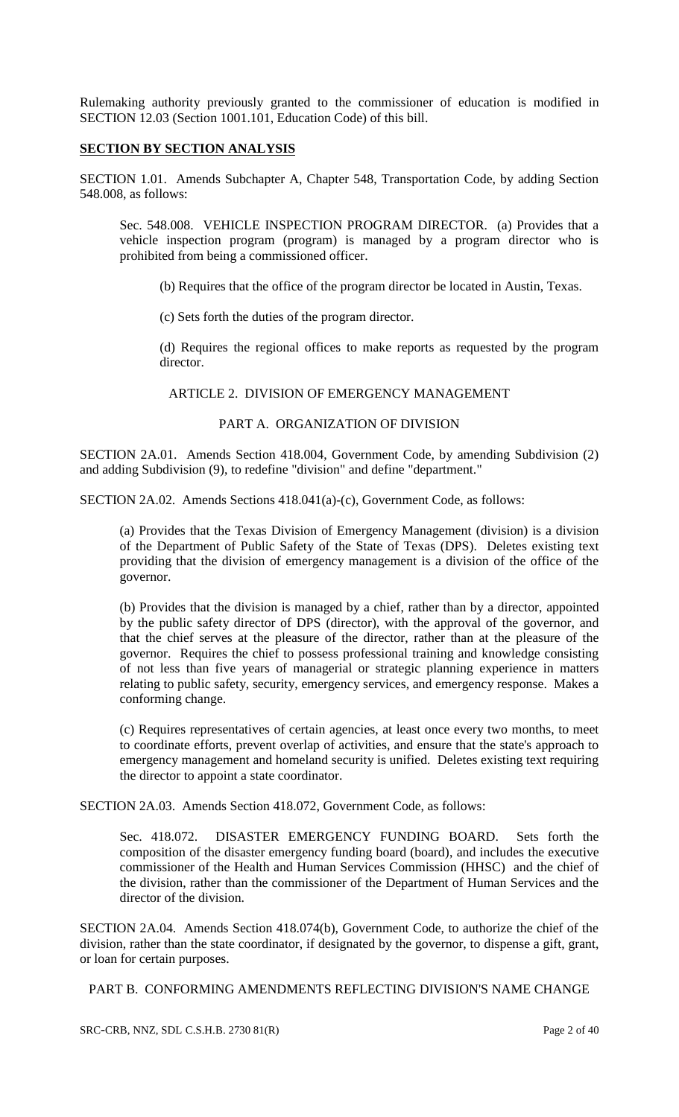Rulemaking authority previously granted to the commissioner of education is modified in SECTION 12.03 (Section 1001.101, Education Code) of this bill.

#### **SECTION BY SECTION ANALYSIS**

SECTION 1.01. Amends Subchapter A, Chapter 548, Transportation Code, by adding Section 548.008, as follows:

Sec. 548.008. VEHICLE INSPECTION PROGRAM DIRECTOR. (a) Provides that a vehicle inspection program (program) is managed by a program director who is prohibited from being a commissioned officer.

(b) Requires that the office of the program director be located in Austin, Texas.

(c) Sets forth the duties of the program director.

(d) Requires the regional offices to make reports as requested by the program director.

ARTICLE 2. DIVISION OF EMERGENCY MANAGEMENT

### PART A. ORGANIZATION OF DIVISION

SECTION 2A.01. Amends Section 418.004, Government Code, by amending Subdivision (2) and adding Subdivision (9), to redefine "division" and define "department."

SECTION 2A.02. Amends Sections 418.041(a)-(c), Government Code, as follows:

(a) Provides that the Texas Division of Emergency Management (division) is a division of the Department of Public Safety of the State of Texas (DPS). Deletes existing text providing that the division of emergency management is a division of the office of the governor.

(b) Provides that the division is managed by a chief, rather than by a director, appointed by the public safety director of DPS (director), with the approval of the governor, and that the chief serves at the pleasure of the director, rather than at the pleasure of the governor. Requires the chief to possess professional training and knowledge consisting of not less than five years of managerial or strategic planning experience in matters relating to public safety, security, emergency services, and emergency response. Makes a conforming change.

(c) Requires representatives of certain agencies, at least once every two months, to meet to coordinate efforts, prevent overlap of activities, and ensure that the state's approach to emergency management and homeland security is unified. Deletes existing text requiring the director to appoint a state coordinator.

SECTION 2A.03. Amends Section 418.072, Government Code, as follows:

Sec. 418.072. DISASTER EMERGENCY FUNDING BOARD. Sets forth the composition of the disaster emergency funding board (board), and includes the executive commissioner of the Health and Human Services Commission (HHSC) and the chief of the division, rather than the commissioner of the Department of Human Services and the director of the division.

SECTION 2A.04. Amends Section 418.074(b), Government Code, to authorize the chief of the division, rather than the state coordinator, if designated by the governor, to dispense a gift, grant, or loan for certain purposes.

PART B. CONFORMING AMENDMENTS REFLECTING DIVISION'S NAME CHANGE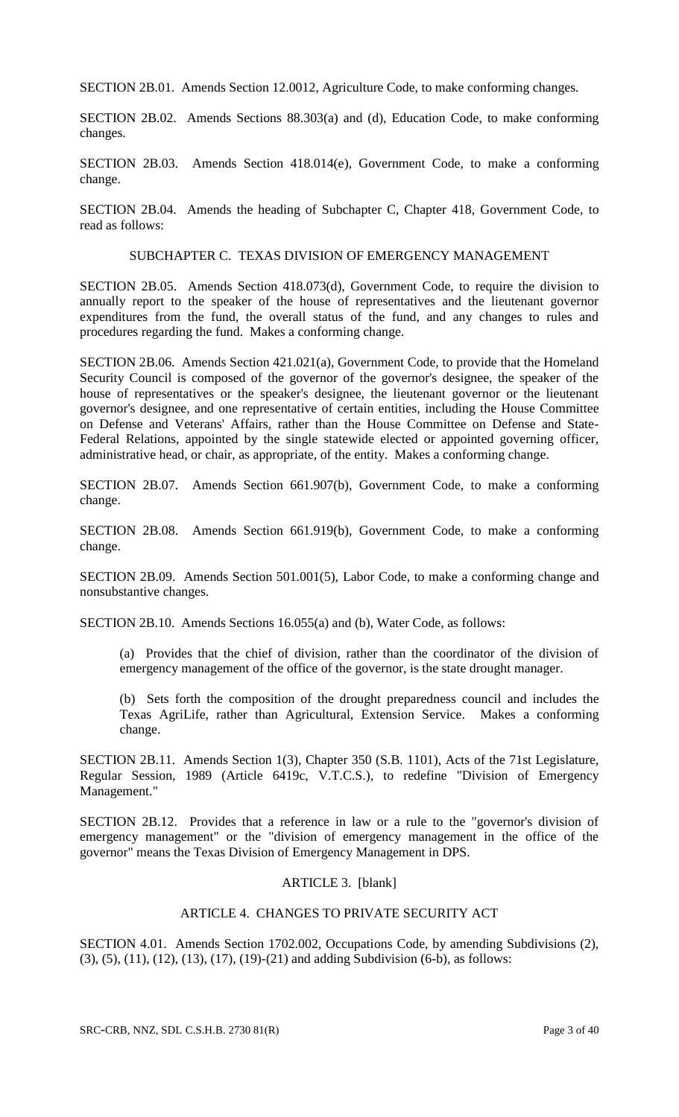SECTION 2B.01. Amends Section 12.0012, Agriculture Code, to make conforming changes.

SECTION 2B.02. Amends Sections 88.303(a) and (d), Education Code, to make conforming changes.

SECTION 2B.03. Amends Section 418.014(e), Government Code, to make a conforming change.

SECTION 2B.04. Amends the heading of Subchapter C, Chapter 418, Government Code, to read as follows:

#### SUBCHAPTER C. TEXAS DIVISION OF EMERGENCY MANAGEMENT

SECTION 2B.05. Amends Section 418.073(d), Government Code, to require the division to annually report to the speaker of the house of representatives and the lieutenant governor expenditures from the fund, the overall status of the fund, and any changes to rules and procedures regarding the fund. Makes a conforming change.

SECTION 2B.06. Amends Section 421.021(a), Government Code, to provide that the Homeland Security Council is composed of the governor of the governor's designee, the speaker of the house of representatives or the speaker's designee, the lieutenant governor or the lieutenant governor's designee, and one representative of certain entities, including the House Committee on Defense and Veterans' Affairs, rather than the House Committee on Defense and State-Federal Relations, appointed by the single statewide elected or appointed governing officer, administrative head, or chair, as appropriate, of the entity. Makes a conforming change.

SECTION 2B.07. Amends Section 661.907(b), Government Code, to make a conforming change.

SECTION 2B.08. Amends Section 661.919(b), Government Code, to make a conforming change.

SECTION 2B.09. Amends Section 501.001(5), Labor Code, to make a conforming change and nonsubstantive changes.

SECTION 2B.10. Amends Sections 16.055(a) and (b), Water Code, as follows:

(a) Provides that the chief of division, rather than the coordinator of the division of emergency management of the office of the governor, is the state drought manager.

(b) Sets forth the composition of the drought preparedness council and includes the Texas AgriLife, rather than Agricultural, Extension Service. Makes a conforming change.

SECTION 2B.11. Amends Section 1(3), Chapter 350 (S.B. 1101), Acts of the 71st Legislature, Regular Session, 1989 (Article 6419c, V.T.C.S.), to redefine "Division of Emergency Management."

SECTION 2B.12. Provides that a reference in law or a rule to the "governor's division of emergency management" or the "division of emergency management in the office of the governor" means the Texas Division of Emergency Management in DPS.

### ARTICLE 3. [blank]

# ARTICLE 4. CHANGES TO PRIVATE SECURITY ACT

SECTION 4.01. Amends Section 1702.002, Occupations Code, by amending Subdivisions (2), (3), (5), (11), (12), (13), (17), (19)-(21) and adding Subdivision (6-b), as follows: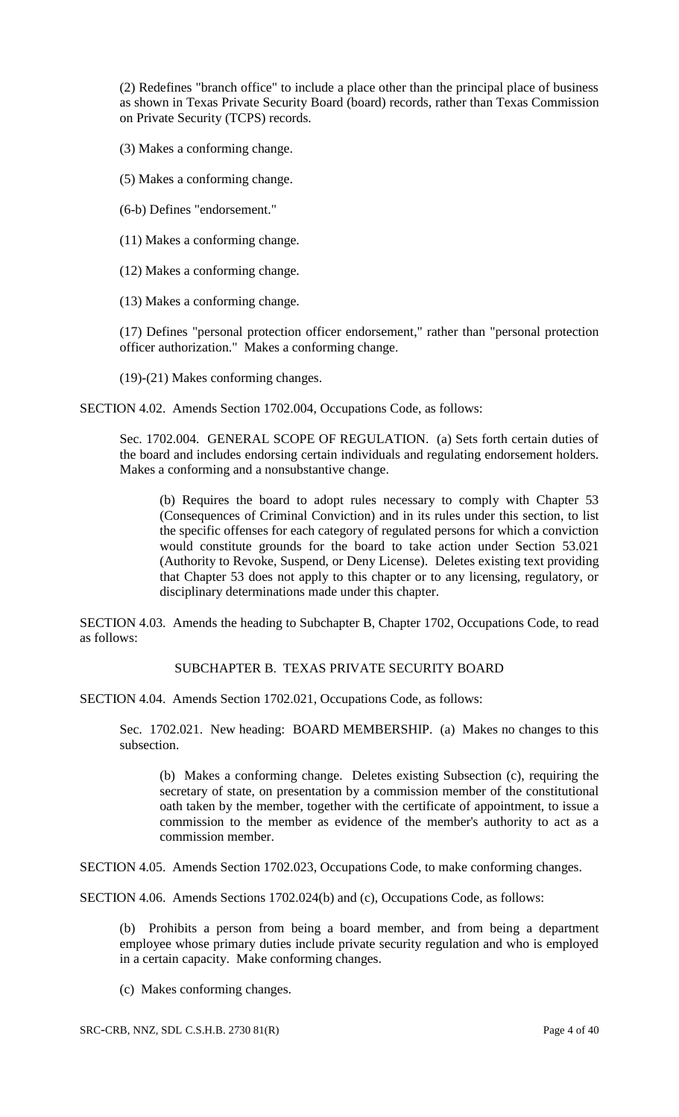(2) Redefines "branch office" to include a place other than the principal place of business as shown in Texas Private Security Board (board) records, rather than Texas Commission on Private Security (TCPS) records.

(3) Makes a conforming change.

(5) Makes a conforming change.

(6-b) Defines "endorsement."

(11) Makes a conforming change.

(12) Makes a conforming change.

(13) Makes a conforming change.

(17) Defines "personal protection officer endorsement," rather than "personal protection officer authorization." Makes a conforming change.

(19)-(21) Makes conforming changes.

SECTION 4.02. Amends Section 1702.004, Occupations Code, as follows:

Sec. 1702.004. GENERAL SCOPE OF REGULATION. (a) Sets forth certain duties of the board and includes endorsing certain individuals and regulating endorsement holders. Makes a conforming and a nonsubstantive change.

(b) Requires the board to adopt rules necessary to comply with Chapter 53 (Consequences of Criminal Conviction) and in its rules under this section, to list the specific offenses for each category of regulated persons for which a conviction would constitute grounds for the board to take action under Section 53.021 (Authority to Revoke, Suspend, or Deny License). Deletes existing text providing that Chapter 53 does not apply to this chapter or to any licensing, regulatory, or disciplinary determinations made under this chapter.

SECTION 4.03. Amends the heading to Subchapter B, Chapter 1702, Occupations Code, to read as follows:

# SUBCHAPTER B. TEXAS PRIVATE SECURITY BOARD

SECTION 4.04. Amends Section 1702.021, Occupations Code, as follows:

Sec. 1702.021. New heading: BOARD MEMBERSHIP. (a) Makes no changes to this subsection.

(b) Makes a conforming change. Deletes existing Subsection (c), requiring the secretary of state, on presentation by a commission member of the constitutional oath taken by the member, together with the certificate of appointment, to issue a commission to the member as evidence of the member's authority to act as a commission member.

SECTION 4.05. Amends Section 1702.023, Occupations Code, to make conforming changes.

SECTION 4.06. Amends Sections 1702.024(b) and (c), Occupations Code, as follows:

(b) Prohibits a person from being a board member, and from being a department employee whose primary duties include private security regulation and who is employed in a certain capacity. Make conforming changes.

(c) Makes conforming changes.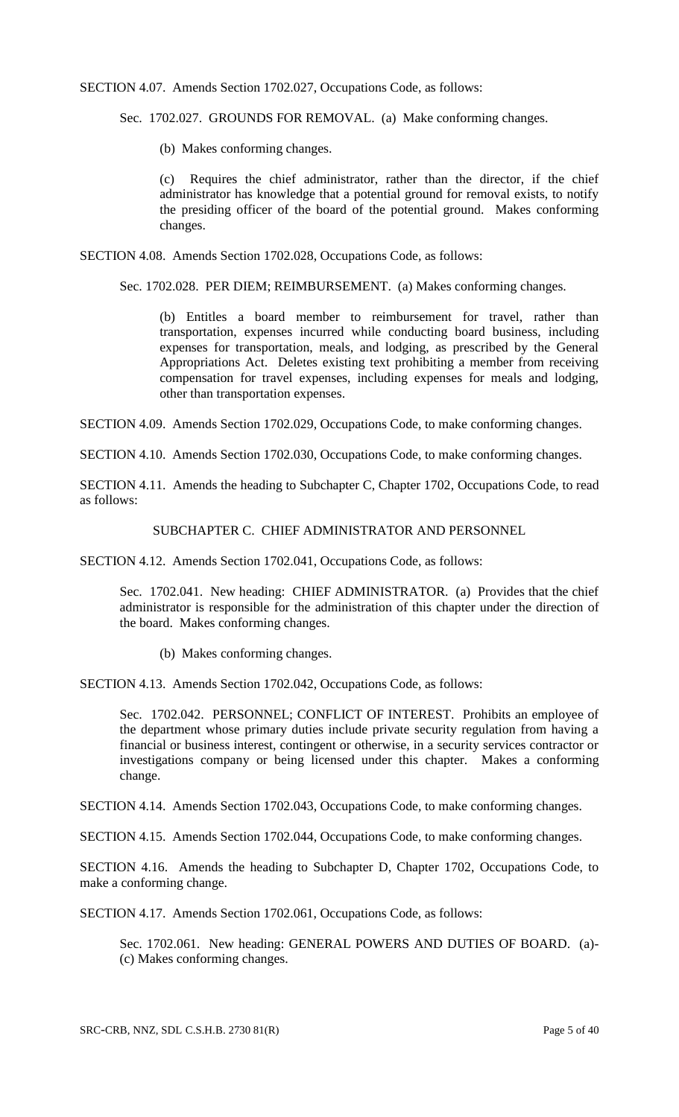SECTION 4.07. Amends Section 1702.027, Occupations Code, as follows:

Sec. 1702.027. GROUNDS FOR REMOVAL. (a) Make conforming changes.

(b) Makes conforming changes.

(c) Requires the chief administrator, rather than the director, if the chief administrator has knowledge that a potential ground for removal exists, to notify the presiding officer of the board of the potential ground. Makes conforming changes.

SECTION 4.08. Amends Section 1702.028, Occupations Code, as follows:

Sec. 1702.028. PER DIEM; REIMBURSEMENT. (a) Makes conforming changes.

(b) Entitles a board member to reimbursement for travel, rather than transportation, expenses incurred while conducting board business, including expenses for transportation, meals, and lodging, as prescribed by the General Appropriations Act. Deletes existing text prohibiting a member from receiving compensation for travel expenses, including expenses for meals and lodging, other than transportation expenses.

SECTION 4.09. Amends Section 1702.029, Occupations Code, to make conforming changes.

SECTION 4.10. Amends Section 1702.030, Occupations Code, to make conforming changes.

SECTION 4.11. Amends the heading to Subchapter C, Chapter 1702, Occupations Code, to read as follows:

#### SUBCHAPTER C. CHIEF ADMINISTRATOR AND PERSONNEL

SECTION 4.12. Amends Section 1702.041, Occupations Code, as follows:

Sec. 1702.041. New heading: CHIEF ADMINISTRATOR. (a) Provides that the chief administrator is responsible for the administration of this chapter under the direction of the board. Makes conforming changes.

(b) Makes conforming changes.

SECTION 4.13. Amends Section 1702.042, Occupations Code, as follows:

Sec. 1702.042. PERSONNEL; CONFLICT OF INTEREST. Prohibits an employee of the department whose primary duties include private security regulation from having a financial or business interest, contingent or otherwise, in a security services contractor or investigations company or being licensed under this chapter. Makes a conforming change.

SECTION 4.14. Amends Section 1702.043, Occupations Code, to make conforming changes.

SECTION 4.15. Amends Section 1702.044, Occupations Code, to make conforming changes.

SECTION 4.16. Amends the heading to Subchapter D, Chapter 1702, Occupations Code, to make a conforming change.

SECTION 4.17. Amends Section 1702.061, Occupations Code, as follows:

Sec. 1702.061. New heading: GENERAL POWERS AND DUTIES OF BOARD. (a)- (c) Makes conforming changes.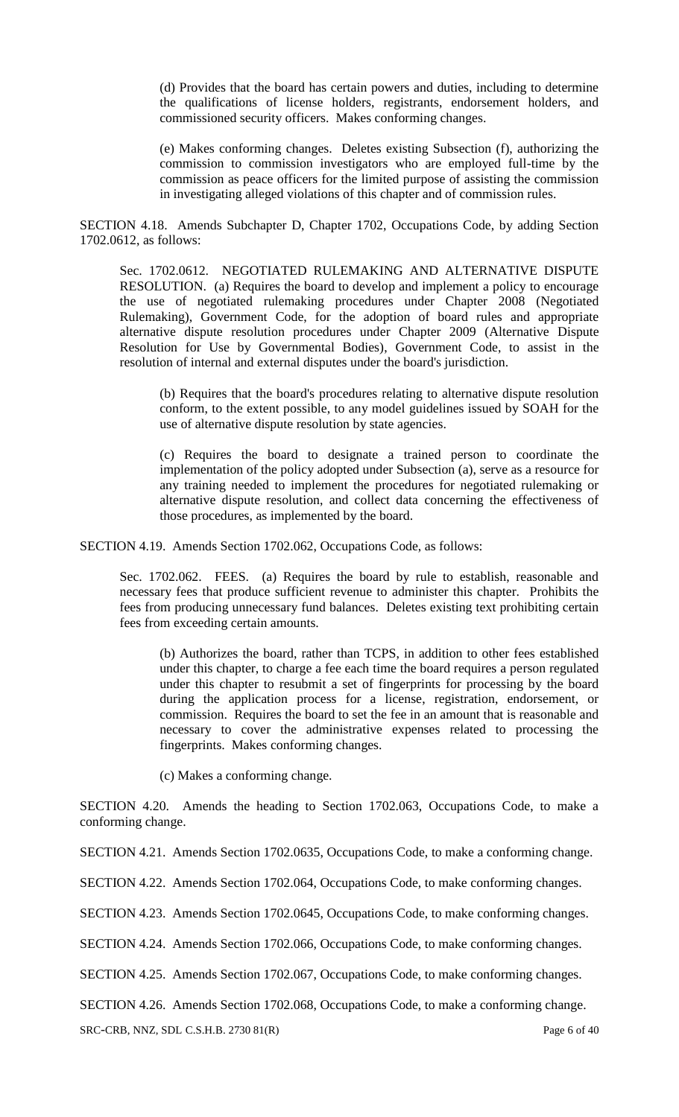(d) Provides that the board has certain powers and duties, including to determine the qualifications of license holders, registrants, endorsement holders, and commissioned security officers. Makes conforming changes.

(e) Makes conforming changes. Deletes existing Subsection (f), authorizing the commission to commission investigators who are employed full-time by the commission as peace officers for the limited purpose of assisting the commission in investigating alleged violations of this chapter and of commission rules.

SECTION 4.18. Amends Subchapter D, Chapter 1702, Occupations Code, by adding Section 1702.0612, as follows:

Sec. 1702.0612. NEGOTIATED RULEMAKING AND ALTERNATIVE DISPUTE RESOLUTION. (a) Requires the board to develop and implement a policy to encourage the use of negotiated rulemaking procedures under Chapter 2008 (Negotiated Rulemaking), Government Code, for the adoption of board rules and appropriate alternative dispute resolution procedures under Chapter 2009 (Alternative Dispute Resolution for Use by Governmental Bodies), Government Code, to assist in the resolution of internal and external disputes under the board's jurisdiction.

(b) Requires that the board's procedures relating to alternative dispute resolution conform, to the extent possible, to any model guidelines issued by SOAH for the use of alternative dispute resolution by state agencies.

(c) Requires the board to designate a trained person to coordinate the implementation of the policy adopted under Subsection (a), serve as a resource for any training needed to implement the procedures for negotiated rulemaking or alternative dispute resolution, and collect data concerning the effectiveness of those procedures, as implemented by the board.

SECTION 4.19. Amends Section 1702.062, Occupations Code, as follows:

Sec. 1702.062. FEES. (a) Requires the board by rule to establish, reasonable and necessary fees that produce sufficient revenue to administer this chapter. Prohibits the fees from producing unnecessary fund balances. Deletes existing text prohibiting certain fees from exceeding certain amounts.

(b) Authorizes the board, rather than TCPS, in addition to other fees established under this chapter, to charge a fee each time the board requires a person regulated under this chapter to resubmit a set of fingerprints for processing by the board during the application process for a license, registration, endorsement, or commission. Requires the board to set the fee in an amount that is reasonable and necessary to cover the administrative expenses related to processing the fingerprints. Makes conforming changes.

(c) Makes a conforming change.

SECTION 4.20. Amends the heading to Section 1702.063, Occupations Code, to make a conforming change.

SECTION 4.21. Amends Section 1702.0635, Occupations Code, to make a conforming change.

SECTION 4.22. Amends Section 1702.064, Occupations Code, to make conforming changes.

SECTION 4.23. Amends Section 1702.0645, Occupations Code, to make conforming changes.

SECTION 4.24. Amends Section 1702.066, Occupations Code, to make conforming changes.

SECTION 4.25. Amends Section 1702.067, Occupations Code, to make conforming changes.

SECTION 4.26. Amends Section 1702.068, Occupations Code, to make a conforming change.

SRC-CRB, NNZ, SDL C.S.H.B. 2730 81(R) Page 6 of 40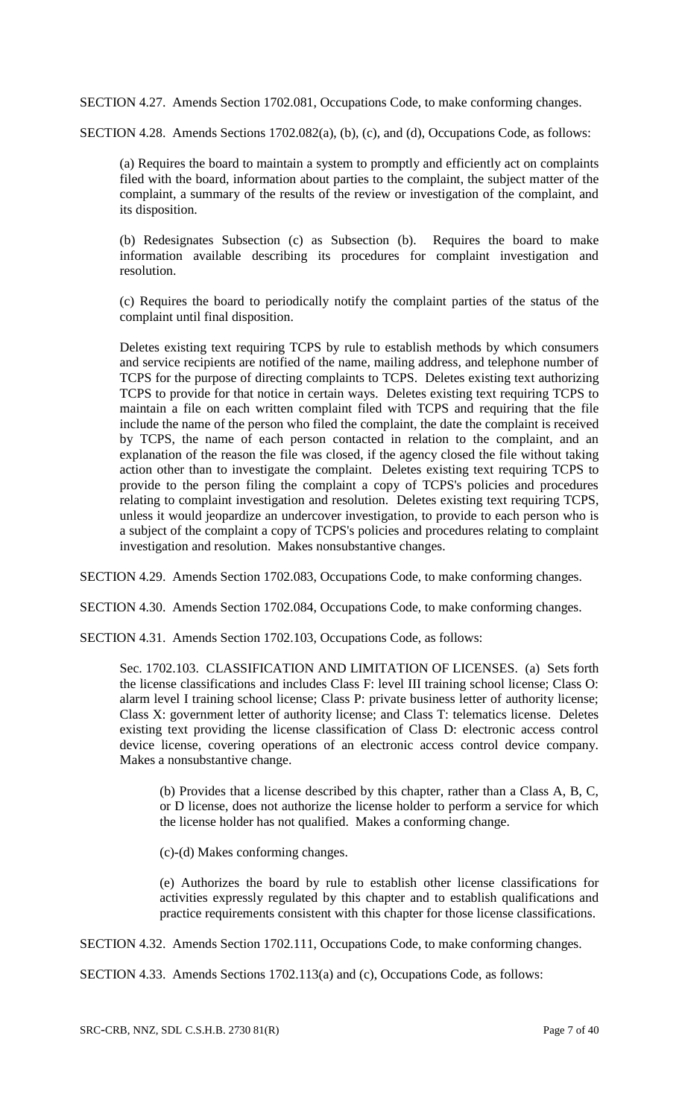SECTION 4.27. Amends Section 1702.081, Occupations Code, to make conforming changes.

SECTION 4.28. Amends Sections 1702.082(a), (b), (c), and (d), Occupations Code, as follows:

(a) Requires the board to maintain a system to promptly and efficiently act on complaints filed with the board, information about parties to the complaint, the subject matter of the complaint, a summary of the results of the review or investigation of the complaint, and its disposition.

(b) Redesignates Subsection (c) as Subsection (b). Requires the board to make information available describing its procedures for complaint investigation and resolution.

(c) Requires the board to periodically notify the complaint parties of the status of the complaint until final disposition.

Deletes existing text requiring TCPS by rule to establish methods by which consumers and service recipients are notified of the name, mailing address, and telephone number of TCPS for the purpose of directing complaints to TCPS. Deletes existing text authorizing TCPS to provide for that notice in certain ways. Deletes existing text requiring TCPS to maintain a file on each written complaint filed with TCPS and requiring that the file include the name of the person who filed the complaint, the date the complaint is received by TCPS, the name of each person contacted in relation to the complaint, and an explanation of the reason the file was closed, if the agency closed the file without taking action other than to investigate the complaint. Deletes existing text requiring TCPS to provide to the person filing the complaint a copy of TCPS's policies and procedures relating to complaint investigation and resolution. Deletes existing text requiring TCPS, unless it would jeopardize an undercover investigation, to provide to each person who is a subject of the complaint a copy of TCPS's policies and procedures relating to complaint investigation and resolution. Makes nonsubstantive changes.

SECTION 4.29. Amends Section 1702.083, Occupations Code, to make conforming changes.

SECTION 4.30. Amends Section 1702.084, Occupations Code, to make conforming changes.

SECTION 4.31. Amends Section 1702.103, Occupations Code, as follows:

Sec. 1702.103. CLASSIFICATION AND LIMITATION OF LICENSES. (a) Sets forth the license classifications and includes Class F: level III training school license; Class O: alarm level I training school license; Class P: private business letter of authority license; Class X: government letter of authority license; and Class T: telematics license. Deletes existing text providing the license classification of Class D: electronic access control device license, covering operations of an electronic access control device company. Makes a nonsubstantive change.

(b) Provides that a license described by this chapter, rather than a Class A, B, C, or D license, does not authorize the license holder to perform a service for which the license holder has not qualified. Makes a conforming change.

(c)-(d) Makes conforming changes.

(e) Authorizes the board by rule to establish other license classifications for activities expressly regulated by this chapter and to establish qualifications and practice requirements consistent with this chapter for those license classifications.

SECTION 4.32. Amends Section 1702.111, Occupations Code, to make conforming changes.

SECTION 4.33. Amends Sections 1702.113(a) and (c), Occupations Code, as follows: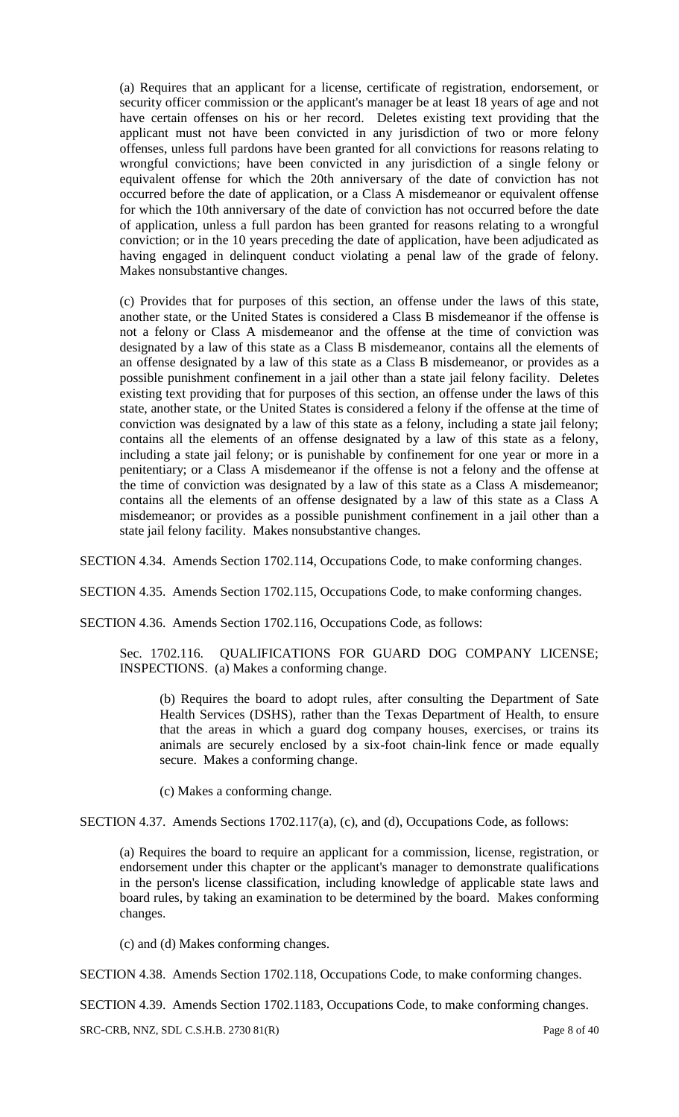(a) Requires that an applicant for a license, certificate of registration, endorsement, or security officer commission or the applicant's manager be at least 18 years of age and not have certain offenses on his or her record. Deletes existing text providing that the applicant must not have been convicted in any jurisdiction of two or more felony offenses, unless full pardons have been granted for all convictions for reasons relating to wrongful convictions; have been convicted in any jurisdiction of a single felony or equivalent offense for which the 20th anniversary of the date of conviction has not occurred before the date of application, or a Class A misdemeanor or equivalent offense for which the 10th anniversary of the date of conviction has not occurred before the date of application, unless a full pardon has been granted for reasons relating to a wrongful conviction; or in the 10 years preceding the date of application, have been adjudicated as having engaged in delinquent conduct violating a penal law of the grade of felony. Makes nonsubstantive changes.

(c) Provides that for purposes of this section, an offense under the laws of this state, another state, or the United States is considered a Class B misdemeanor if the offense is not a felony or Class A misdemeanor and the offense at the time of conviction was designated by a law of this state as a Class B misdemeanor, contains all the elements of an offense designated by a law of this state as a Class B misdemeanor, or provides as a possible punishment confinement in a jail other than a state jail felony facility. Deletes existing text providing that for purposes of this section, an offense under the laws of this state, another state, or the United States is considered a felony if the offense at the time of conviction was designated by a law of this state as a felony, including a state jail felony; contains all the elements of an offense designated by a law of this state as a felony, including a state jail felony; or is punishable by confinement for one year or more in a penitentiary; or a Class A misdemeanor if the offense is not a felony and the offense at the time of conviction was designated by a law of this state as a Class A misdemeanor; contains all the elements of an offense designated by a law of this state as a Class A misdemeanor; or provides as a possible punishment confinement in a jail other than a state jail felony facility. Makes nonsubstantive changes.

SECTION 4.34. Amends Section 1702.114, Occupations Code, to make conforming changes.

SECTION 4.35. Amends Section 1702.115, Occupations Code, to make conforming changes.

SECTION 4.36. Amends Section 1702.116, Occupations Code, as follows:

Sec. 1702.116. QUALIFICATIONS FOR GUARD DOG COMPANY LICENSE; INSPECTIONS. (a) Makes a conforming change.

(b) Requires the board to adopt rules, after consulting the Department of Sate Health Services (DSHS), rather than the Texas Department of Health, to ensure that the areas in which a guard dog company houses, exercises, or trains its animals are securely enclosed by a six-foot chain-link fence or made equally secure. Makes a conforming change.

(c) Makes a conforming change.

SECTION 4.37. Amends Sections 1702.117(a), (c), and (d), Occupations Code, as follows:

(a) Requires the board to require an applicant for a commission, license, registration, or endorsement under this chapter or the applicant's manager to demonstrate qualifications in the person's license classification, including knowledge of applicable state laws and board rules, by taking an examination to be determined by the board. Makes conforming changes.

(c) and (d) Makes conforming changes.

SECTION 4.38. Amends Section 1702.118, Occupations Code, to make conforming changes.

SECTION 4.39. Amends Section 1702.1183, Occupations Code, to make conforming changes.

SRC-CRB, NNZ, SDL C.S.H.B. 2730 81(R) Page 8 of 40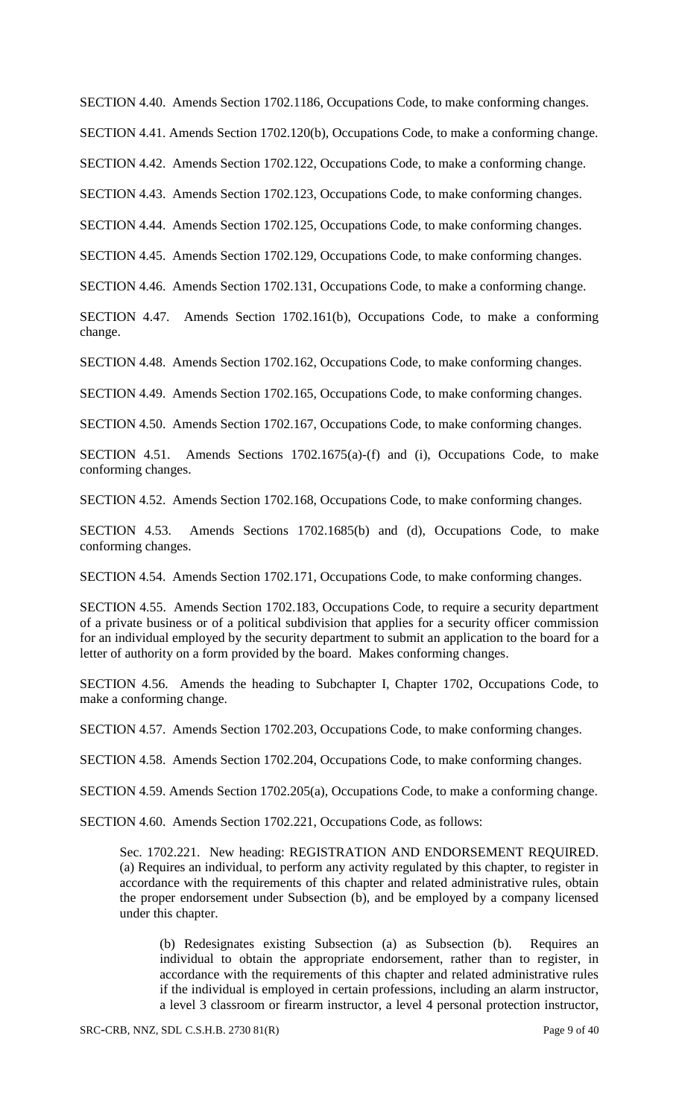SECTION 4.40. Amends Section 1702.1186, Occupations Code, to make conforming changes.

SECTION 4.41. Amends Section 1702.120(b), Occupations Code, to make a conforming change.

SECTION 4.42. Amends Section 1702.122, Occupations Code, to make a conforming change.

SECTION 4.43. Amends Section 1702.123, Occupations Code, to make conforming changes.

SECTION 4.44. Amends Section 1702.125, Occupations Code, to make conforming changes.

SECTION 4.45. Amends Section 1702.129, Occupations Code, to make conforming changes.

SECTION 4.46. Amends Section 1702.131, Occupations Code, to make a conforming change.

SECTION 4.47. Amends Section 1702.161(b), Occupations Code, to make a conforming change.

SECTION 4.48. Amends Section 1702.162, Occupations Code, to make conforming changes.

SECTION 4.49. Amends Section 1702.165, Occupations Code, to make conforming changes.

SECTION 4.50. Amends Section 1702.167, Occupations Code, to make conforming changes.

SECTION 4.51. Amends Sections 1702.1675(a)-(f) and (i), Occupations Code, to make conforming changes.

SECTION 4.52. Amends Section 1702.168, Occupations Code, to make conforming changes.

SECTION 4.53. Amends Sections 1702.1685(b) and (d), Occupations Code, to make conforming changes.

SECTION 4.54. Amends Section 1702.171, Occupations Code, to make conforming changes.

SECTION 4.55. Amends Section 1702.183, Occupations Code, to require a security department of a private business or of a political subdivision that applies for a security officer commission for an individual employed by the security department to submit an application to the board for a letter of authority on a form provided by the board. Makes conforming changes.

SECTION 4.56. Amends the heading to Subchapter I, Chapter 1702, Occupations Code, to make a conforming change.

SECTION 4.57. Amends Section 1702.203, Occupations Code, to make conforming changes.

SECTION 4.58. Amends Section 1702.204, Occupations Code, to make conforming changes.

SECTION 4.59. Amends Section 1702.205(a), Occupations Code, to make a conforming change.

SECTION 4.60. Amends Section 1702.221, Occupations Code, as follows:

Sec. 1702.221. New heading: REGISTRATION AND ENDORSEMENT REQUIRED. (a) Requires an individual, to perform any activity regulated by this chapter, to register in accordance with the requirements of this chapter and related administrative rules, obtain the proper endorsement under Subsection (b), and be employed by a company licensed under this chapter.

(b) Redesignates existing Subsection (a) as Subsection (b). Requires an individual to obtain the appropriate endorsement, rather than to register, in accordance with the requirements of this chapter and related administrative rules if the individual is employed in certain professions, including an alarm instructor, a level 3 classroom or firearm instructor, a level 4 personal protection instructor,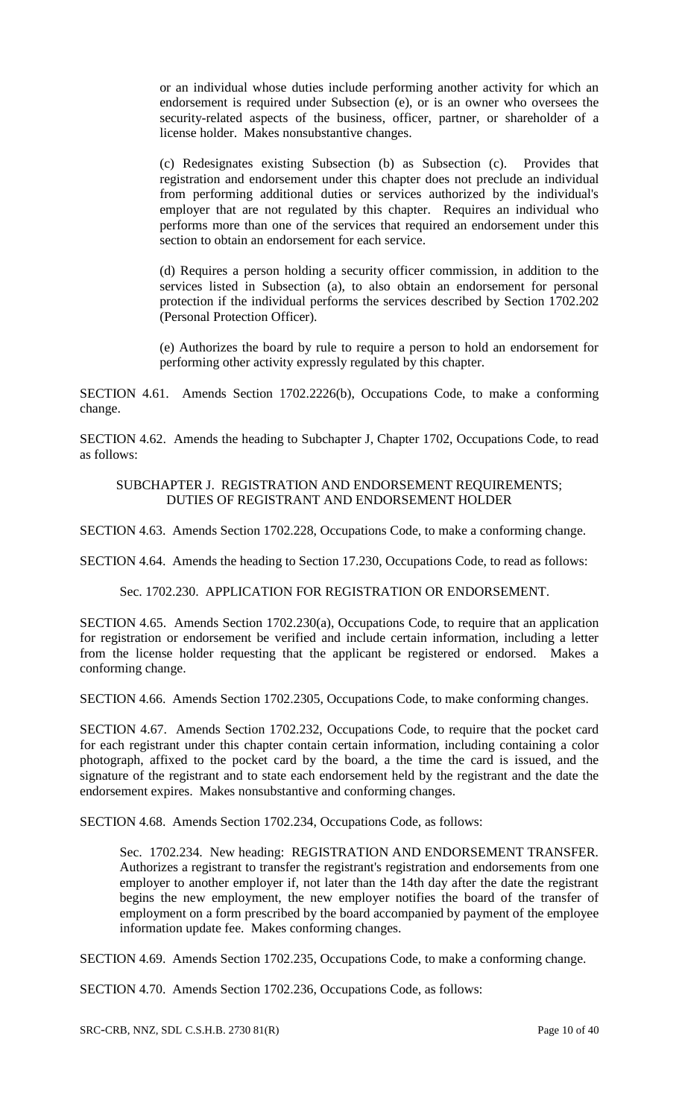or an individual whose duties include performing another activity for which an endorsement is required under Subsection (e), or is an owner who oversees the security-related aspects of the business, officer, partner, or shareholder of a license holder. Makes nonsubstantive changes.

(c) Redesignates existing Subsection (b) as Subsection (c). Provides that registration and endorsement under this chapter does not preclude an individual from performing additional duties or services authorized by the individual's employer that are not regulated by this chapter. Requires an individual who performs more than one of the services that required an endorsement under this section to obtain an endorsement for each service.

(d) Requires a person holding a security officer commission, in addition to the services listed in Subsection (a), to also obtain an endorsement for personal protection if the individual performs the services described by Section 1702.202 (Personal Protection Officer).

(e) Authorizes the board by rule to require a person to hold an endorsement for performing other activity expressly regulated by this chapter.

SECTION 4.61. Amends Section 1702.2226(b), Occupations Code, to make a conforming change.

SECTION 4.62. Amends the heading to Subchapter J, Chapter 1702, Occupations Code, to read as follows:

#### SUBCHAPTER J. REGISTRATION AND ENDORSEMENT REQUIREMENTS; DUTIES OF REGISTRANT AND ENDORSEMENT HOLDER

SECTION 4.63. Amends Section 1702.228, Occupations Code, to make a conforming change.

SECTION 4.64. Amends the heading to Section 17.230, Occupations Code, to read as follows:

### Sec. 1702.230. APPLICATION FOR REGISTRATION OR ENDORSEMENT.

SECTION 4.65. Amends Section 1702.230(a), Occupations Code, to require that an application for registration or endorsement be verified and include certain information, including a letter from the license holder requesting that the applicant be registered or endorsed. Makes a conforming change.

SECTION 4.66. Amends Section 1702.2305, Occupations Code, to make conforming changes.

SECTION 4.67. Amends Section 1702.232, Occupations Code, to require that the pocket card for each registrant under this chapter contain certain information, including containing a color photograph, affixed to the pocket card by the board, a the time the card is issued, and the signature of the registrant and to state each endorsement held by the registrant and the date the endorsement expires. Makes nonsubstantive and conforming changes.

SECTION 4.68. Amends Section 1702.234, Occupations Code, as follows:

Sec. 1702.234. New heading: REGISTRATION AND ENDORSEMENT TRANSFER. Authorizes a registrant to transfer the registrant's registration and endorsements from one employer to another employer if, not later than the 14th day after the date the registrant begins the new employment, the new employer notifies the board of the transfer of employment on a form prescribed by the board accompanied by payment of the employee information update fee. Makes conforming changes.

SECTION 4.69. Amends Section 1702.235, Occupations Code, to make a conforming change.

SECTION 4.70. Amends Section 1702.236, Occupations Code, as follows: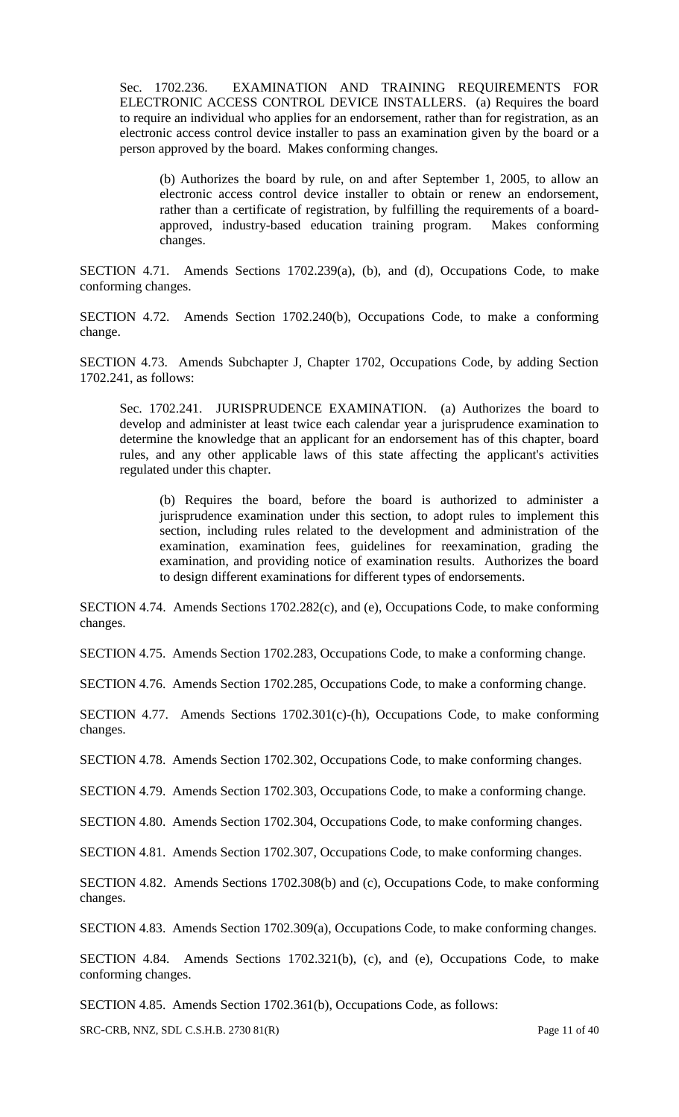Sec. 1702.236. EXAMINATION AND TRAINING REQUIREMENTS FOR ELECTRONIC ACCESS CONTROL DEVICE INSTALLERS. (a) Requires the board to require an individual who applies for an endorsement, rather than for registration, as an electronic access control device installer to pass an examination given by the board or a person approved by the board. Makes conforming changes.

(b) Authorizes the board by rule, on and after September 1, 2005, to allow an electronic access control device installer to obtain or renew an endorsement, rather than a certificate of registration, by fulfilling the requirements of a boardapproved, industry-based education training program. Makes conforming changes.

SECTION 4.71. Amends Sections 1702.239(a), (b), and (d), Occupations Code, to make conforming changes.

SECTION 4.72. Amends Section 1702.240(b), Occupations Code, to make a conforming change.

SECTION 4.73. Amends Subchapter J, Chapter 1702, Occupations Code, by adding Section 1702.241, as follows:

Sec. 1702.241. JURISPRUDENCE EXAMINATION. (a) Authorizes the board to develop and administer at least twice each calendar year a jurisprudence examination to determine the knowledge that an applicant for an endorsement has of this chapter, board rules, and any other applicable laws of this state affecting the applicant's activities regulated under this chapter.

(b) Requires the board, before the board is authorized to administer a jurisprudence examination under this section, to adopt rules to implement this section, including rules related to the development and administration of the examination, examination fees, guidelines for reexamination, grading the examination, and providing notice of examination results. Authorizes the board to design different examinations for different types of endorsements.

SECTION 4.74. Amends Sections 1702.282(c), and (e), Occupations Code, to make conforming changes.

SECTION 4.75. Amends Section 1702.283, Occupations Code, to make a conforming change.

SECTION 4.76. Amends Section 1702.285, Occupations Code, to make a conforming change.

SECTION 4.77. Amends Sections 1702.301(c)-(h), Occupations Code, to make conforming changes.

SECTION 4.78. Amends Section 1702.302, Occupations Code, to make conforming changes.

SECTION 4.79. Amends Section 1702.303, Occupations Code, to make a conforming change.

SECTION 4.80. Amends Section 1702.304, Occupations Code, to make conforming changes.

SECTION 4.81. Amends Section 1702.307, Occupations Code, to make conforming changes.

SECTION 4.82. Amends Sections 1702.308(b) and (c), Occupations Code, to make conforming changes.

SECTION 4.83. Amends Section 1702.309(a), Occupations Code, to make conforming changes.

SECTION 4.84. Amends Sections 1702.321(b), (c), and (e), Occupations Code, to make conforming changes.

SECTION 4.85. Amends Section 1702.361(b), Occupations Code, as follows:

SRC-CRB, NNZ, SDL C.S.H.B. 2730 81(R) Page 11 of 40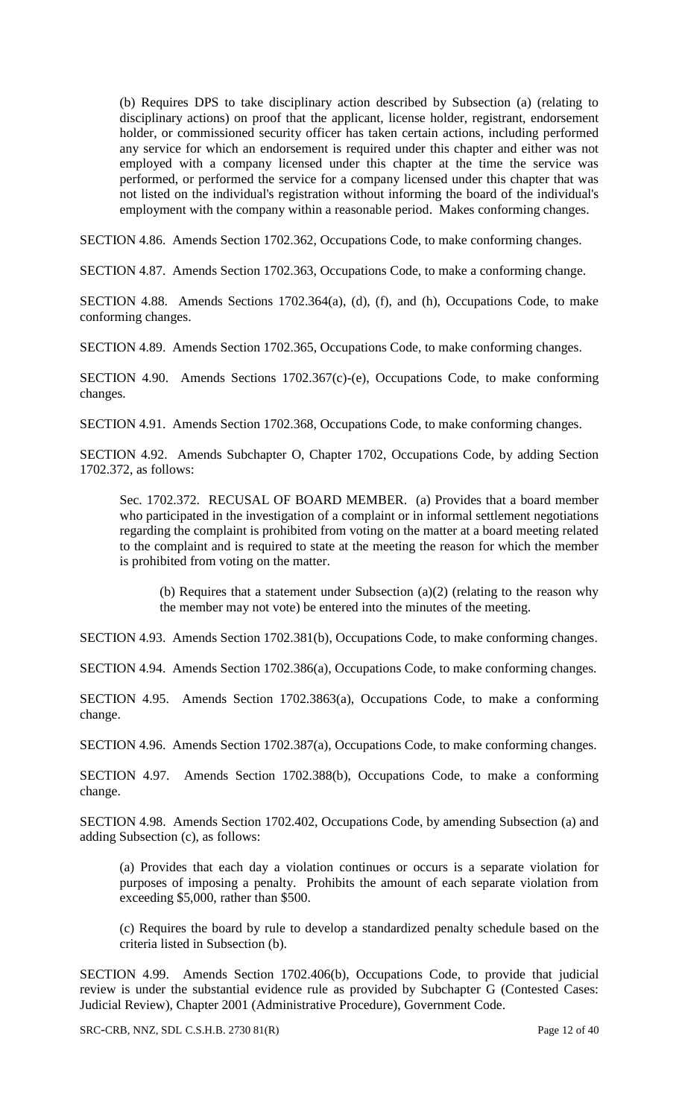(b) Requires DPS to take disciplinary action described by Subsection (a) (relating to disciplinary actions) on proof that the applicant, license holder, registrant, endorsement holder, or commissioned security officer has taken certain actions, including performed any service for which an endorsement is required under this chapter and either was not employed with a company licensed under this chapter at the time the service was performed, or performed the service for a company licensed under this chapter that was not listed on the individual's registration without informing the board of the individual's employment with the company within a reasonable period. Makes conforming changes.

SECTION 4.86. Amends Section 1702.362, Occupations Code, to make conforming changes.

SECTION 4.87. Amends Section 1702.363, Occupations Code, to make a conforming change.

SECTION 4.88. Amends Sections 1702.364(a), (d), (f), and (h), Occupations Code, to make conforming changes.

SECTION 4.89. Amends Section 1702.365, Occupations Code, to make conforming changes.

SECTION 4.90. Amends Sections 1702.367(c)-(e), Occupations Code, to make conforming changes.

SECTION 4.91. Amends Section 1702.368, Occupations Code, to make conforming changes.

SECTION 4.92. Amends Subchapter O, Chapter 1702, Occupations Code, by adding Section 1702.372, as follows:

Sec. 1702.372. RECUSAL OF BOARD MEMBER. (a) Provides that a board member who participated in the investigation of a complaint or in informal settlement negotiations regarding the complaint is prohibited from voting on the matter at a board meeting related to the complaint and is required to state at the meeting the reason for which the member is prohibited from voting on the matter.

(b) Requires that a statement under Subsection (a)(2) (relating to the reason why the member may not vote) be entered into the minutes of the meeting.

SECTION 4.93. Amends Section 1702.381(b), Occupations Code, to make conforming changes.

SECTION 4.94. Amends Section 1702.386(a), Occupations Code, to make conforming changes.

SECTION 4.95. Amends Section 1702.3863(a), Occupations Code, to make a conforming change.

SECTION 4.96. Amends Section 1702.387(a), Occupations Code, to make conforming changes.

SECTION 4.97. Amends Section 1702.388(b), Occupations Code, to make a conforming change.

SECTION 4.98. Amends Section 1702.402, Occupations Code, by amending Subsection (a) and adding Subsection (c), as follows:

(a) Provides that each day a violation continues or occurs is a separate violation for purposes of imposing a penalty. Prohibits the amount of each separate violation from exceeding \$5,000, rather than \$500.

(c) Requires the board by rule to develop a standardized penalty schedule based on the criteria listed in Subsection (b).

SECTION 4.99. Amends Section 1702.406(b), Occupations Code, to provide that judicial review is under the substantial evidence rule as provided by Subchapter G (Contested Cases: Judicial Review), Chapter 2001 (Administrative Procedure), Government Code.

SRC-CRB, NNZ, SDL C.S.H.B. 2730 81(R) Page 12 of 40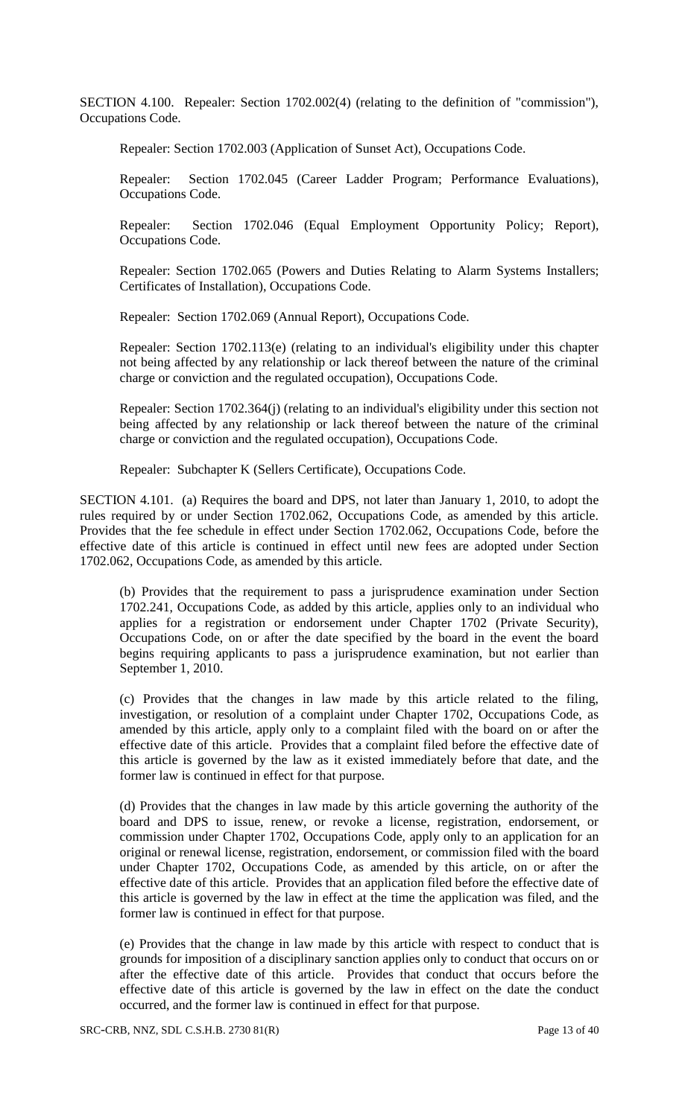SECTION 4.100. Repealer: Section 1702.002(4) (relating to the definition of "commission"), Occupations Code.

Repealer: Section 1702.003 (Application of Sunset Act), Occupations Code.

Repealer: Section 1702.045 (Career Ladder Program; Performance Evaluations), Occupations Code.

Repealer: Section 1702.046 (Equal Employment Opportunity Policy; Report), Occupations Code.

Repealer: Section 1702.065 (Powers and Duties Relating to Alarm Systems Installers; Certificates of Installation), Occupations Code.

Repealer: Section 1702.069 (Annual Report), Occupations Code.

Repealer: Section 1702.113(e) (relating to an individual's eligibility under this chapter not being affected by any relationship or lack thereof between the nature of the criminal charge or conviction and the regulated occupation), Occupations Code.

Repealer: Section 1702.364(j) (relating to an individual's eligibility under this section not being affected by any relationship or lack thereof between the nature of the criminal charge or conviction and the regulated occupation), Occupations Code.

Repealer: Subchapter K (Sellers Certificate), Occupations Code.

SECTION 4.101. (a) Requires the board and DPS, not later than January 1, 2010, to adopt the rules required by or under Section 1702.062, Occupations Code, as amended by this article. Provides that the fee schedule in effect under Section 1702.062, Occupations Code, before the effective date of this article is continued in effect until new fees are adopted under Section 1702.062, Occupations Code, as amended by this article.

(b) Provides that the requirement to pass a jurisprudence examination under Section 1702.241, Occupations Code, as added by this article, applies only to an individual who applies for a registration or endorsement under Chapter 1702 (Private Security), Occupations Code, on or after the date specified by the board in the event the board begins requiring applicants to pass a jurisprudence examination, but not earlier than September 1, 2010.

(c) Provides that the changes in law made by this article related to the filing, investigation, or resolution of a complaint under Chapter 1702, Occupations Code, as amended by this article, apply only to a complaint filed with the board on or after the effective date of this article. Provides that a complaint filed before the effective date of this article is governed by the law as it existed immediately before that date, and the former law is continued in effect for that purpose.

(d) Provides that the changes in law made by this article governing the authority of the board and DPS to issue, renew, or revoke a license, registration, endorsement, or commission under Chapter 1702, Occupations Code, apply only to an application for an original or renewal license, registration, endorsement, or commission filed with the board under Chapter 1702, Occupations Code, as amended by this article, on or after the effective date of this article. Provides that an application filed before the effective date of this article is governed by the law in effect at the time the application was filed, and the former law is continued in effect for that purpose.

(e) Provides that the change in law made by this article with respect to conduct that is grounds for imposition of a disciplinary sanction applies only to conduct that occurs on or after the effective date of this article. Provides that conduct that occurs before the effective date of this article is governed by the law in effect on the date the conduct occurred, and the former law is continued in effect for that purpose.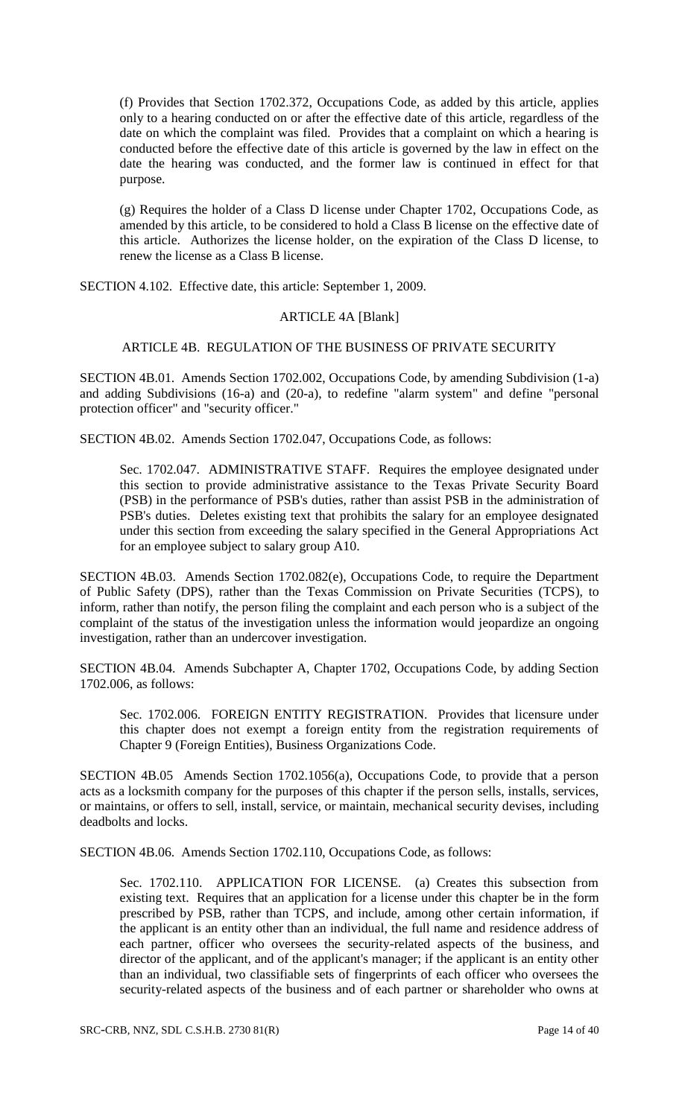(f) Provides that Section 1702.372, Occupations Code, as added by this article, applies only to a hearing conducted on or after the effective date of this article, regardless of the date on which the complaint was filed. Provides that a complaint on which a hearing is conducted before the effective date of this article is governed by the law in effect on the date the hearing was conducted, and the former law is continued in effect for that purpose.

(g) Requires the holder of a Class D license under Chapter 1702, Occupations Code, as amended by this article, to be considered to hold a Class B license on the effective date of this article. Authorizes the license holder, on the expiration of the Class D license, to renew the license as a Class B license.

SECTION 4.102. Effective date, this article: September 1, 2009.

### ARTICLE 4A [Blank]

# ARTICLE 4B. REGULATION OF THE BUSINESS OF PRIVATE SECURITY

SECTION 4B.01. Amends Section 1702.002, Occupations Code, by amending Subdivision (1-a) and adding Subdivisions (16-a) and (20-a), to redefine "alarm system" and define "personal protection officer" and "security officer."

SECTION 4B.02. Amends Section 1702.047, Occupations Code, as follows:

Sec. 1702.047. ADMINISTRATIVE STAFF. Requires the employee designated under this section to provide administrative assistance to the Texas Private Security Board (PSB) in the performance of PSB's duties, rather than assist PSB in the administration of PSB's duties. Deletes existing text that prohibits the salary for an employee designated under this section from exceeding the salary specified in the General Appropriations Act for an employee subject to salary group A10.

SECTION 4B.03. Amends Section 1702.082(e), Occupations Code, to require the Department of Public Safety (DPS), rather than the Texas Commission on Private Securities (TCPS), to inform, rather than notify, the person filing the complaint and each person who is a subject of the complaint of the status of the investigation unless the information would jeopardize an ongoing investigation, rather than an undercover investigation.

SECTION 4B.04. Amends Subchapter A, Chapter 1702, Occupations Code, by adding Section 1702.006, as follows:

Sec. 1702.006. FOREIGN ENTITY REGISTRATION. Provides that licensure under this chapter does not exempt a foreign entity from the registration requirements of Chapter 9 (Foreign Entities), Business Organizations Code.

SECTION 4B.05 Amends Section 1702.1056(a), Occupations Code, to provide that a person acts as a locksmith company for the purposes of this chapter if the person sells, installs, services, or maintains, or offers to sell, install, service, or maintain, mechanical security devises, including deadbolts and locks.

SECTION 4B.06. Amends Section 1702.110, Occupations Code, as follows:

Sec. 1702.110. APPLICATION FOR LICENSE. (a) Creates this subsection from existing text. Requires that an application for a license under this chapter be in the form prescribed by PSB, rather than TCPS, and include, among other certain information, if the applicant is an entity other than an individual, the full name and residence address of each partner, officer who oversees the security-related aspects of the business, and director of the applicant, and of the applicant's manager; if the applicant is an entity other than an individual, two classifiable sets of fingerprints of each officer who oversees the security-related aspects of the business and of each partner or shareholder who owns at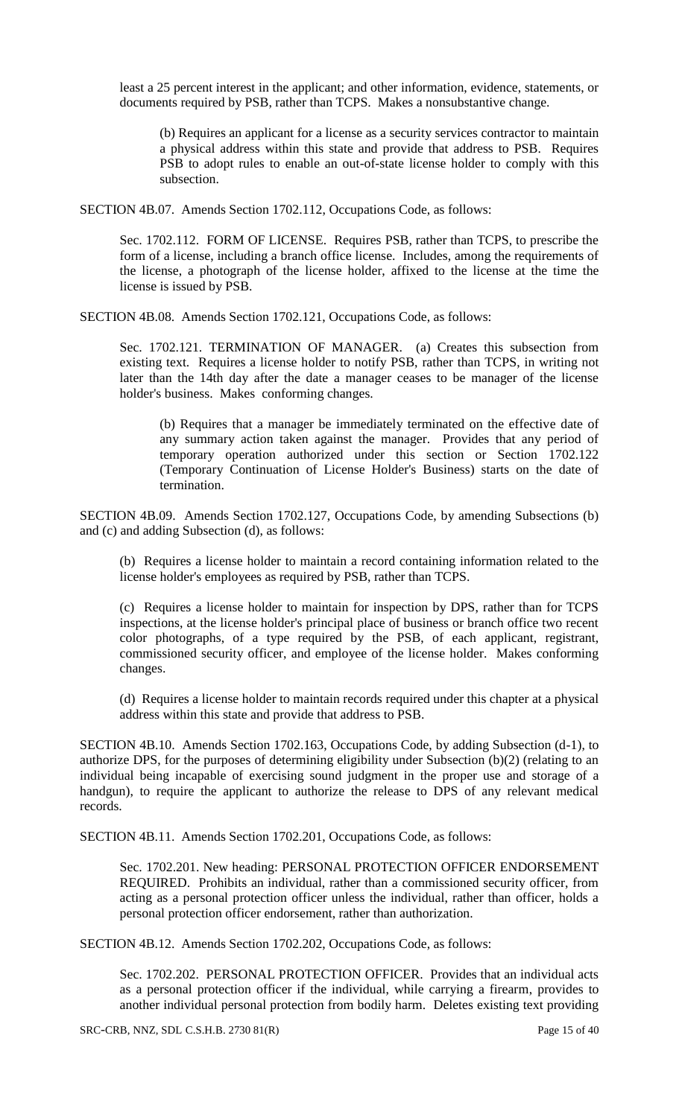least a 25 percent interest in the applicant; and other information, evidence, statements, or documents required by PSB, rather than TCPS. Makes a nonsubstantive change.

(b) Requires an applicant for a license as a security services contractor to maintain a physical address within this state and provide that address to PSB. Requires PSB to adopt rules to enable an out-of-state license holder to comply with this subsection.

SECTION 4B.07. Amends Section 1702.112, Occupations Code, as follows:

Sec. 1702.112. FORM OF LICENSE. Requires PSB, rather than TCPS, to prescribe the form of a license, including a branch office license. Includes, among the requirements of the license, a photograph of the license holder, affixed to the license at the time the license is issued by PSB.

SECTION 4B.08. Amends Section 1702.121, Occupations Code, as follows:

Sec. 1702.121. TERMINATION OF MANAGER. (a) Creates this subsection from existing text. Requires a license holder to notify PSB, rather than TCPS, in writing not later than the 14th day after the date a manager ceases to be manager of the license holder's business. Makes conforming changes.

(b) Requires that a manager be immediately terminated on the effective date of any summary action taken against the manager. Provides that any period of temporary operation authorized under this section or Section 1702.122 (Temporary Continuation of License Holder's Business) starts on the date of termination.

SECTION 4B.09. Amends Section 1702.127, Occupations Code, by amending Subsections (b) and (c) and adding Subsection (d), as follows:

(b) Requires a license holder to maintain a record containing information related to the license holder's employees as required by PSB, rather than TCPS.

(c) Requires a license holder to maintain for inspection by DPS, rather than for TCPS inspections, at the license holder's principal place of business or branch office two recent color photographs, of a type required by the PSB, of each applicant, registrant, commissioned security officer, and employee of the license holder. Makes conforming changes.

(d) Requires a license holder to maintain records required under this chapter at a physical address within this state and provide that address to PSB.

SECTION 4B.10. Amends Section 1702.163, Occupations Code, by adding Subsection (d-1), to authorize DPS, for the purposes of determining eligibility under Subsection (b)(2) (relating to an individual being incapable of exercising sound judgment in the proper use and storage of a handgun), to require the applicant to authorize the release to DPS of any relevant medical records.

SECTION 4B.11. Amends Section 1702.201, Occupations Code, as follows:

Sec. 1702.201. New heading: PERSONAL PROTECTION OFFICER ENDORSEMENT REQUIRED. Prohibits an individual, rather than a commissioned security officer, from acting as a personal protection officer unless the individual, rather than officer, holds a personal protection officer endorsement, rather than authorization.

SECTION 4B.12. Amends Section 1702.202, Occupations Code, as follows:

Sec. 1702.202. PERSONAL PROTECTION OFFICER. Provides that an individual acts as a personal protection officer if the individual, while carrying a firearm, provides to another individual personal protection from bodily harm. Deletes existing text providing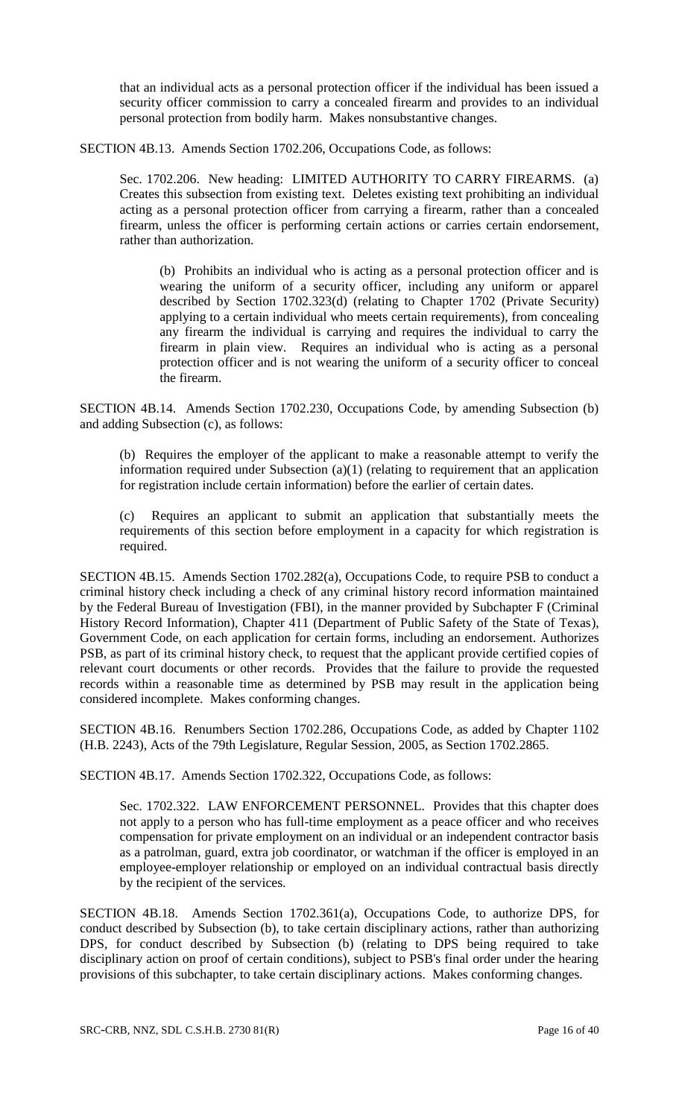that an individual acts as a personal protection officer if the individual has been issued a security officer commission to carry a concealed firearm and provides to an individual personal protection from bodily harm. Makes nonsubstantive changes.

SECTION 4B.13. Amends Section 1702.206, Occupations Code, as follows:

Sec. 1702.206. New heading: LIMITED AUTHORITY TO CARRY FIREARMS. (a) Creates this subsection from existing text. Deletes existing text prohibiting an individual acting as a personal protection officer from carrying a firearm, rather than a concealed firearm, unless the officer is performing certain actions or carries certain endorsement, rather than authorization.

(b) Prohibits an individual who is acting as a personal protection officer and is wearing the uniform of a security officer, including any uniform or apparel described by Section 1702.323(d) (relating to Chapter 1702 (Private Security) applying to a certain individual who meets certain requirements), from concealing any firearm the individual is carrying and requires the individual to carry the firearm in plain view. Requires an individual who is acting as a personal protection officer and is not wearing the uniform of a security officer to conceal the firearm.

SECTION 4B.14. Amends Section 1702.230, Occupations Code, by amending Subsection (b) and adding Subsection (c), as follows:

(b) Requires the employer of the applicant to make a reasonable attempt to verify the information required under Subsection (a)(1) (relating to requirement that an application for registration include certain information) before the earlier of certain dates.

(c) Requires an applicant to submit an application that substantially meets the requirements of this section before employment in a capacity for which registration is required.

SECTION 4B.15. Amends Section 1702.282(a), Occupations Code, to require PSB to conduct a criminal history check including a check of any criminal history record information maintained by the Federal Bureau of Investigation (FBI), in the manner provided by Subchapter F (Criminal History Record Information), Chapter 411 (Department of Public Safety of the State of Texas), Government Code, on each application for certain forms, including an endorsement. Authorizes PSB, as part of its criminal history check, to request that the applicant provide certified copies of relevant court documents or other records. Provides that the failure to provide the requested records within a reasonable time as determined by PSB may result in the application being considered incomplete. Makes conforming changes.

SECTION 4B.16. Renumbers Section 1702.286, Occupations Code, as added by Chapter 1102 (H.B. 2243), Acts of the 79th Legislature, Regular Session, 2005, as Section 1702.2865.

SECTION 4B.17. Amends Section 1702.322, Occupations Code, as follows:

Sec. 1702.322. LAW ENFORCEMENT PERSONNEL. Provides that this chapter does not apply to a person who has full-time employment as a peace officer and who receives compensation for private employment on an individual or an independent contractor basis as a patrolman, guard, extra job coordinator, or watchman if the officer is employed in an employee-employer relationship or employed on an individual contractual basis directly by the recipient of the services.

SECTION 4B.18. Amends Section 1702.361(a), Occupations Code, to authorize DPS, for conduct described by Subsection (b), to take certain disciplinary actions, rather than authorizing DPS, for conduct described by Subsection (b) (relating to DPS being required to take disciplinary action on proof of certain conditions), subject to PSB's final order under the hearing provisions of this subchapter, to take certain disciplinary actions. Makes conforming changes.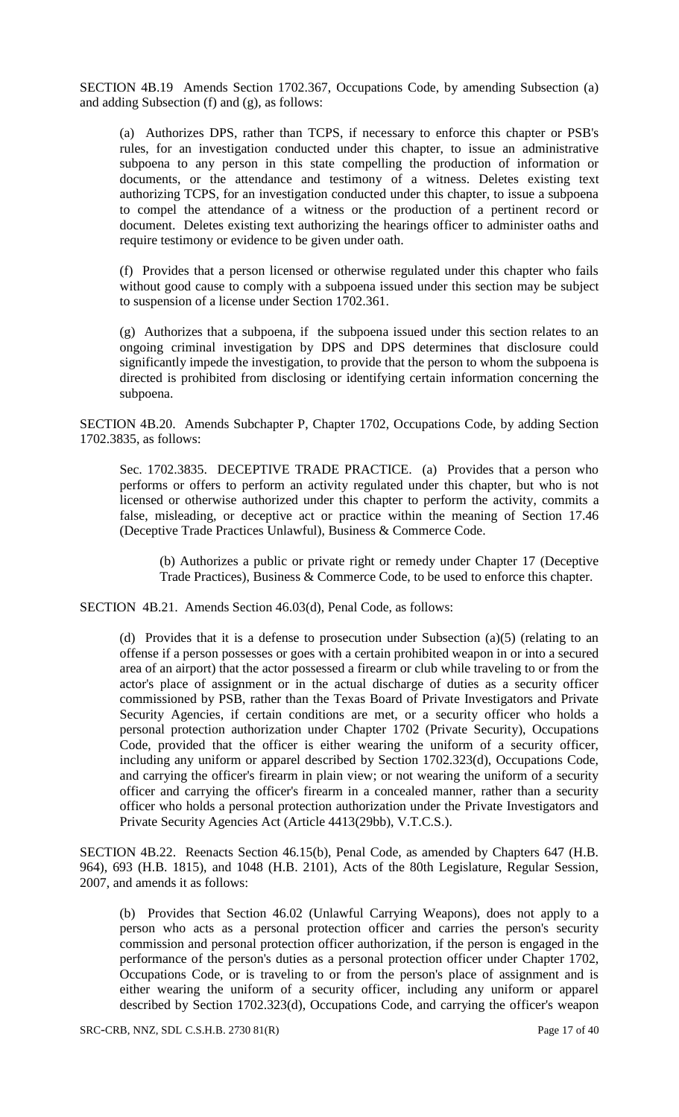SECTION 4B.19 Amends Section 1702.367, Occupations Code, by amending Subsection (a) and adding Subsection (f) and (g), as follows:

(a) Authorizes DPS, rather than TCPS, if necessary to enforce this chapter or PSB's rules, for an investigation conducted under this chapter, to issue an administrative subpoena to any person in this state compelling the production of information or documents, or the attendance and testimony of a witness. Deletes existing text authorizing TCPS, for an investigation conducted under this chapter, to issue a subpoena to compel the attendance of a witness or the production of a pertinent record or document. Deletes existing text authorizing the hearings officer to administer oaths and require testimony or evidence to be given under oath.

(f) Provides that a person licensed or otherwise regulated under this chapter who fails without good cause to comply with a subpoena issued under this section may be subject to suspension of a license under Section 1702.361.

(g) Authorizes that a subpoena, if the subpoena issued under this section relates to an ongoing criminal investigation by DPS and DPS determines that disclosure could significantly impede the investigation, to provide that the person to whom the subpoena is directed is prohibited from disclosing or identifying certain information concerning the subpoena.

SECTION 4B.20. Amends Subchapter P, Chapter 1702, Occupations Code, by adding Section 1702.3835, as follows:

Sec. 1702.3835. DECEPTIVE TRADE PRACTICE. (a) Provides that a person who performs or offers to perform an activity regulated under this chapter, but who is not licensed or otherwise authorized under this chapter to perform the activity, commits a false, misleading, or deceptive act or practice within the meaning of Section 17.46 (Deceptive Trade Practices Unlawful), Business & Commerce Code.

(b) Authorizes a public or private right or remedy under Chapter 17 (Deceptive Trade Practices), Business & Commerce Code, to be used to enforce this chapter.

SECTION 4B.21. Amends Section 46.03(d), Penal Code, as follows:

(d) Provides that it is a defense to prosecution under Subsection (a)(5) (relating to an offense if a person possesses or goes with a certain prohibited weapon in or into a secured area of an airport) that the actor possessed a firearm or club while traveling to or from the actor's place of assignment or in the actual discharge of duties as a security officer commissioned by PSB, rather than the Texas Board of Private Investigators and Private Security Agencies, if certain conditions are met, or a security officer who holds a personal protection authorization under Chapter 1702 (Private Security), Occupations Code, provided that the officer is either wearing the uniform of a security officer, including any uniform or apparel described by Section 1702.323(d), Occupations Code, and carrying the officer's firearm in plain view; or not wearing the uniform of a security officer and carrying the officer's firearm in a concealed manner, rather than a security officer who holds a personal protection authorization under the Private Investigators and Private Security Agencies Act (Article 4413(29bb), V.T.C.S.).

SECTION 4B.22. Reenacts Section 46.15(b), Penal Code, as amended by Chapters 647 (H.B. 964), 693 (H.B. 1815), and 1048 (H.B. 2101), Acts of the 80th Legislature, Regular Session, 2007, and amends it as follows:

(b) Provides that Section 46.02 (Unlawful Carrying Weapons), does not apply to a person who acts as a personal protection officer and carries the person's security commission and personal protection officer authorization, if the person is engaged in the performance of the person's duties as a personal protection officer under Chapter 1702, Occupations Code, or is traveling to or from the person's place of assignment and is either wearing the uniform of a security officer, including any uniform or apparel described by Section 1702.323(d), Occupations Code, and carrying the officer's weapon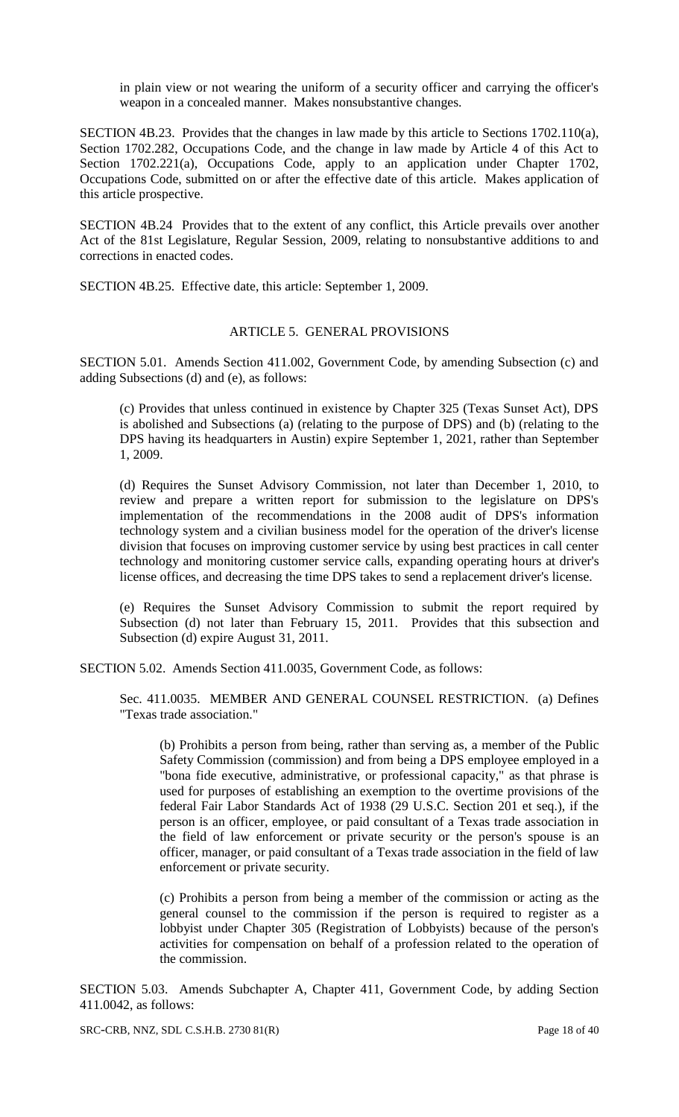in plain view or not wearing the uniform of a security officer and carrying the officer's weapon in a concealed manner. Makes nonsubstantive changes.

SECTION 4B.23. Provides that the changes in law made by this article to Sections 1702.110(a), Section 1702.282, Occupations Code, and the change in law made by Article 4 of this Act to Section 1702.221(a), Occupations Code, apply to an application under Chapter 1702, Occupations Code, submitted on or after the effective date of this article. Makes application of this article prospective.

SECTION 4B.24 Provides that to the extent of any conflict, this Article prevails over another Act of the 81st Legislature, Regular Session, 2009, relating to nonsubstantive additions to and corrections in enacted codes.

SECTION 4B.25. Effective date, this article: September 1, 2009.

#### ARTICLE 5. GENERAL PROVISIONS

SECTION 5.01. Amends Section 411.002, Government Code, by amending Subsection (c) and adding Subsections (d) and (e), as follows:

(c) Provides that unless continued in existence by Chapter 325 (Texas Sunset Act), DPS is abolished and Subsections (a) (relating to the purpose of DPS) and (b) (relating to the DPS having its headquarters in Austin) expire September 1, 2021, rather than September 1, 2009.

(d) Requires the Sunset Advisory Commission, not later than December 1, 2010, to review and prepare a written report for submission to the legislature on DPS's implementation of the recommendations in the 2008 audit of DPS's information technology system and a civilian business model for the operation of the driver's license division that focuses on improving customer service by using best practices in call center technology and monitoring customer service calls, expanding operating hours at driver's license offices, and decreasing the time DPS takes to send a replacement driver's license.

(e) Requires the Sunset Advisory Commission to submit the report required by Subsection (d) not later than February 15, 2011. Provides that this subsection and Subsection (d) expire August 31, 2011.

SECTION 5.02. Amends Section 411.0035, Government Code, as follows:

Sec. 411.0035. MEMBER AND GENERAL COUNSEL RESTRICTION. (a) Defines "Texas trade association."

(b) Prohibits a person from being, rather than serving as, a member of the Public Safety Commission (commission) and from being a DPS employee employed in a "bona fide executive, administrative, or professional capacity," as that phrase is used for purposes of establishing an exemption to the overtime provisions of the federal Fair Labor Standards Act of 1938 (29 U.S.C. Section 201 et seq.), if the person is an officer, employee, or paid consultant of a Texas trade association in the field of law enforcement or private security or the person's spouse is an officer, manager, or paid consultant of a Texas trade association in the field of law enforcement or private security.

(c) Prohibits a person from being a member of the commission or acting as the general counsel to the commission if the person is required to register as a lobbyist under Chapter 305 (Registration of Lobbyists) because of the person's activities for compensation on behalf of a profession related to the operation of the commission.

SECTION 5.03. Amends Subchapter A, Chapter 411, Government Code, by adding Section 411.0042, as follows: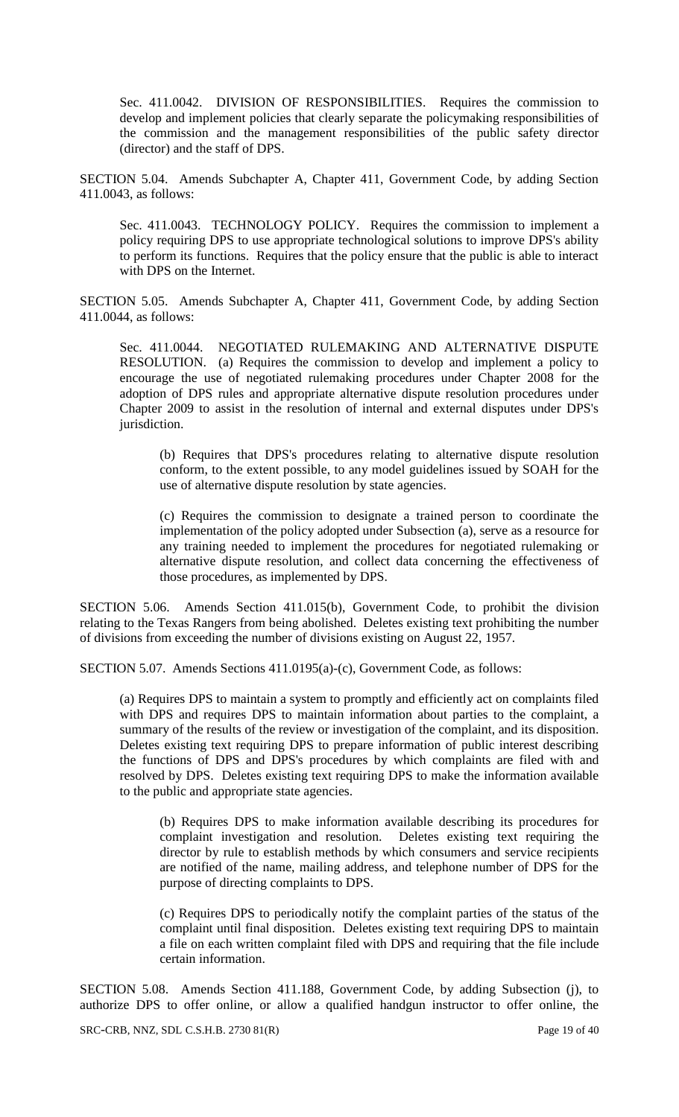Sec. 411.0042. DIVISION OF RESPONSIBILITIES. Requires the commission to develop and implement policies that clearly separate the policymaking responsibilities of the commission and the management responsibilities of the public safety director (director) and the staff of DPS.

SECTION 5.04. Amends Subchapter A, Chapter 411, Government Code, by adding Section 411.0043, as follows:

Sec. 411.0043. TECHNOLOGY POLICY. Requires the commission to implement a policy requiring DPS to use appropriate technological solutions to improve DPS's ability to perform its functions. Requires that the policy ensure that the public is able to interact with DPS on the Internet.

SECTION 5.05. Amends Subchapter A, Chapter 411, Government Code, by adding Section 411.0044, as follows:

Sec. 411.0044. NEGOTIATED RULEMAKING AND ALTERNATIVE DISPUTE RESOLUTION. (a) Requires the commission to develop and implement a policy to encourage the use of negotiated rulemaking procedures under Chapter 2008 for the adoption of DPS rules and appropriate alternative dispute resolution procedures under Chapter 2009 to assist in the resolution of internal and external disputes under DPS's jurisdiction.

(b) Requires that DPS's procedures relating to alternative dispute resolution conform, to the extent possible, to any model guidelines issued by SOAH for the use of alternative dispute resolution by state agencies.

(c) Requires the commission to designate a trained person to coordinate the implementation of the policy adopted under Subsection (a), serve as a resource for any training needed to implement the procedures for negotiated rulemaking or alternative dispute resolution, and collect data concerning the effectiveness of those procedures, as implemented by DPS.

SECTION 5.06. Amends Section 411.015(b), Government Code, to prohibit the division relating to the Texas Rangers from being abolished. Deletes existing text prohibiting the number of divisions from exceeding the number of divisions existing on August 22, 1957.

SECTION 5.07. Amends Sections 411.0195(a)-(c), Government Code, as follows:

(a) Requires DPS to maintain a system to promptly and efficiently act on complaints filed with DPS and requires DPS to maintain information about parties to the complaint, a summary of the results of the review or investigation of the complaint, and its disposition. Deletes existing text requiring DPS to prepare information of public interest describing the functions of DPS and DPS's procedures by which complaints are filed with and resolved by DPS. Deletes existing text requiring DPS to make the information available to the public and appropriate state agencies.

(b) Requires DPS to make information available describing its procedures for complaint investigation and resolution. Deletes existing text requiring the director by rule to establish methods by which consumers and service recipients are notified of the name, mailing address, and telephone number of DPS for the purpose of directing complaints to DPS.

(c) Requires DPS to periodically notify the complaint parties of the status of the complaint until final disposition. Deletes existing text requiring DPS to maintain a file on each written complaint filed with DPS and requiring that the file include certain information.

SECTION 5.08. Amends Section 411.188, Government Code, by adding Subsection (j), to authorize DPS to offer online, or allow a qualified handgun instructor to offer online, the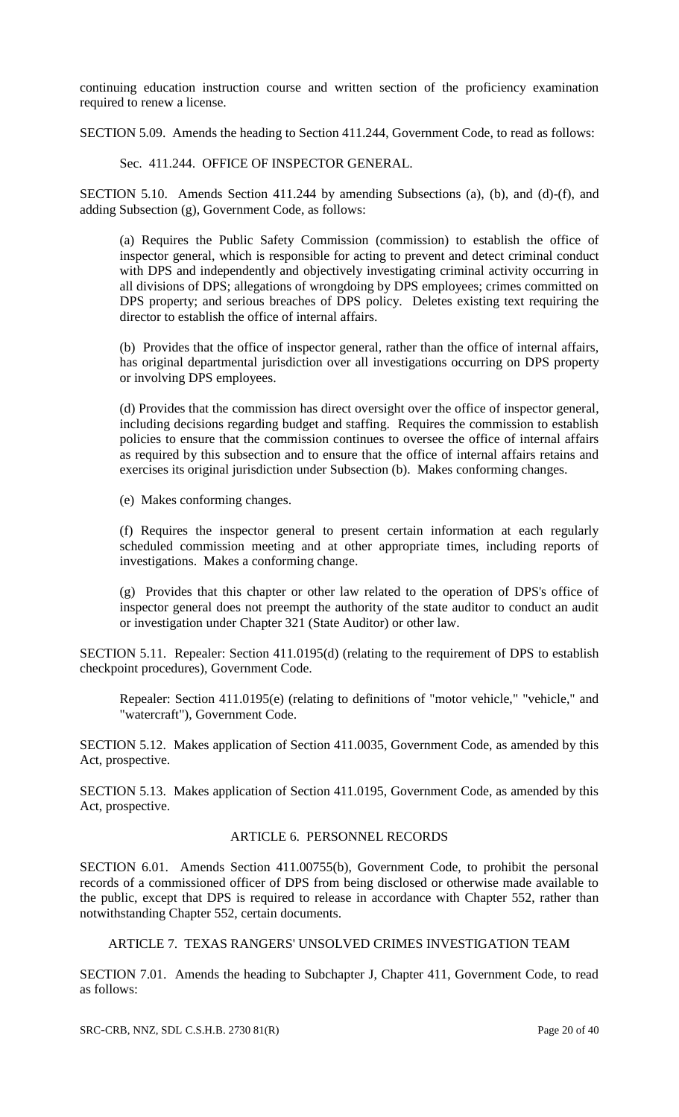continuing education instruction course and written section of the proficiency examination required to renew a license.

SECTION 5.09. Amends the heading to Section 411.244, Government Code, to read as follows:

Sec. 411.244. OFFICE OF INSPECTOR GENERAL.

SECTION 5.10. Amends Section 411.244 by amending Subsections (a), (b), and (d)-(f), and adding Subsection (g), Government Code, as follows:

(a) Requires the Public Safety Commission (commission) to establish the office of inspector general, which is responsible for acting to prevent and detect criminal conduct with DPS and independently and objectively investigating criminal activity occurring in all divisions of DPS; allegations of wrongdoing by DPS employees; crimes committed on DPS property; and serious breaches of DPS policy. Deletes existing text requiring the director to establish the office of internal affairs.

(b) Provides that the office of inspector general, rather than the office of internal affairs, has original departmental jurisdiction over all investigations occurring on DPS property or involving DPS employees.

(d) Provides that the commission has direct oversight over the office of inspector general, including decisions regarding budget and staffing. Requires the commission to establish policies to ensure that the commission continues to oversee the office of internal affairs as required by this subsection and to ensure that the office of internal affairs retains and exercises its original jurisdiction under Subsection (b). Makes conforming changes.

(e) Makes conforming changes.

(f) Requires the inspector general to present certain information at each regularly scheduled commission meeting and at other appropriate times, including reports of investigations. Makes a conforming change.

(g) Provides that this chapter or other law related to the operation of DPS's office of inspector general does not preempt the authority of the state auditor to conduct an audit or investigation under Chapter 321 (State Auditor) or other law.

SECTION 5.11. Repealer: Section 411.0195(d) (relating to the requirement of DPS to establish checkpoint procedures), Government Code.

Repealer: Section 411.0195(e) (relating to definitions of "motor vehicle," "vehicle," and "watercraft"), Government Code.

SECTION 5.12. Makes application of Section 411.0035, Government Code, as amended by this Act, prospective.

SECTION 5.13. Makes application of Section 411.0195, Government Code, as amended by this Act, prospective.

### ARTICLE 6. PERSONNEL RECORDS

SECTION 6.01. Amends Section 411.00755(b), Government Code, to prohibit the personal records of a commissioned officer of DPS from being disclosed or otherwise made available to the public, except that DPS is required to release in accordance with Chapter 552, rather than notwithstanding Chapter 552, certain documents.

ARTICLE 7. TEXAS RANGERS' UNSOLVED CRIMES INVESTIGATION TEAM

SECTION 7.01. Amends the heading to Subchapter J, Chapter 411, Government Code, to read as follows: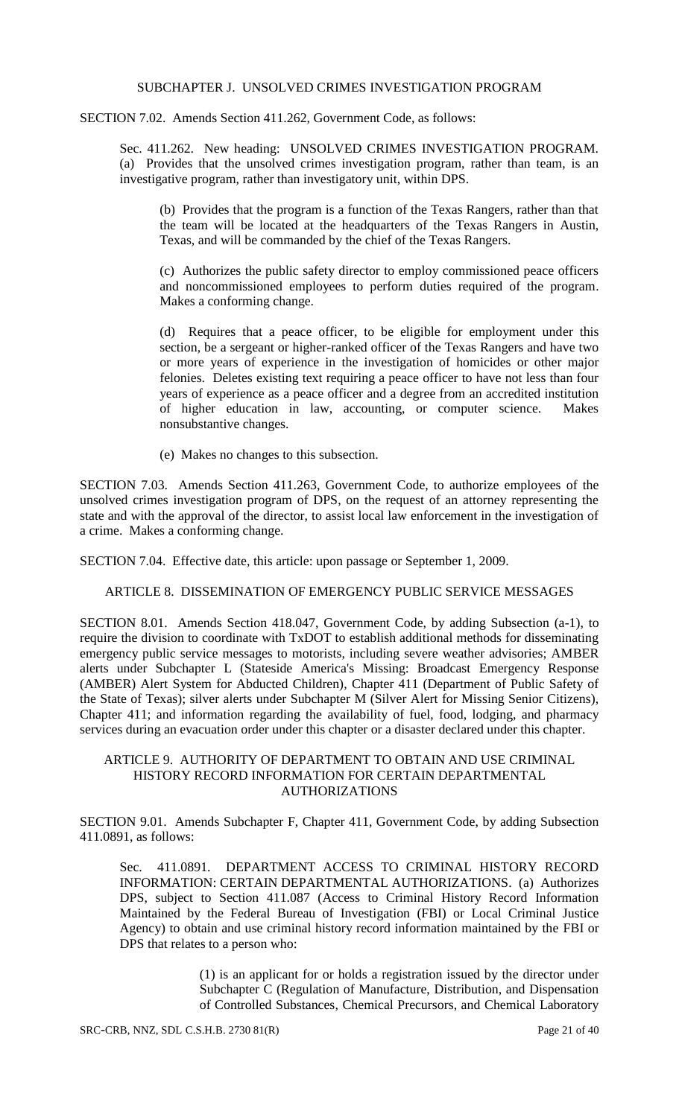#### SUBCHAPTER J. UNSOLVED CRIMES INVESTIGATION PROGRAM

SECTION 7.02. Amends Section 411.262, Government Code, as follows:

Sec. 411.262. New heading: UNSOLVED CRIMES INVESTIGATION PROGRAM. (a) Provides that the unsolved crimes investigation program, rather than team, is an investigative program, rather than investigatory unit, within DPS.

(b) Provides that the program is a function of the Texas Rangers, rather than that the team will be located at the headquarters of the Texas Rangers in Austin, Texas, and will be commanded by the chief of the Texas Rangers.

(c) Authorizes the public safety director to employ commissioned peace officers and noncommissioned employees to perform duties required of the program. Makes a conforming change.

(d) Requires that a peace officer, to be eligible for employment under this section, be a sergeant or higher-ranked officer of the Texas Rangers and have two or more years of experience in the investigation of homicides or other major felonies. Deletes existing text requiring a peace officer to have not less than four years of experience as a peace officer and a degree from an accredited institution of higher education in law, accounting, or computer science. Makes nonsubstantive changes.

(e) Makes no changes to this subsection.

SECTION 7.03. Amends Section 411.263, Government Code, to authorize employees of the unsolved crimes investigation program of DPS, on the request of an attorney representing the state and with the approval of the director, to assist local law enforcement in the investigation of a crime. Makes a conforming change.

SECTION 7.04. Effective date, this article: upon passage or September 1, 2009.

ARTICLE 8. DISSEMINATION OF EMERGENCY PUBLIC SERVICE MESSAGES

SECTION 8.01. Amends Section 418.047, Government Code, by adding Subsection (a-1), to require the division to coordinate with TxDOT to establish additional methods for disseminating emergency public service messages to motorists, including severe weather advisories; AMBER alerts under Subchapter L (Stateside America's Missing: Broadcast Emergency Response (AMBER) Alert System for Abducted Children), Chapter 411 (Department of Public Safety of the State of Texas); silver alerts under Subchapter M (Silver Alert for Missing Senior Citizens), Chapter 411; and information regarding the availability of fuel, food, lodging, and pharmacy services during an evacuation order under this chapter or a disaster declared under this chapter.

#### ARTICLE 9. AUTHORITY OF DEPARTMENT TO OBTAIN AND USE CRIMINAL HISTORY RECORD INFORMATION FOR CERTAIN DEPARTMENTAL AUTHORIZATIONS

SECTION 9.01. Amends Subchapter F, Chapter 411, Government Code, by adding Subsection 411.0891, as follows:

Sec. 411.0891. DEPARTMENT ACCESS TO CRIMINAL HISTORY RECORD INFORMATION: CERTAIN DEPARTMENTAL AUTHORIZATIONS. (a) Authorizes DPS, subject to Section 411.087 (Access to Criminal History Record Information Maintained by the Federal Bureau of Investigation (FBI) or Local Criminal Justice Agency) to obtain and use criminal history record information maintained by the FBI or DPS that relates to a person who:

> (1) is an applicant for or holds a registration issued by the director under Subchapter C (Regulation of Manufacture, Distribution, and Dispensation of Controlled Substances, Chemical Precursors, and Chemical Laboratory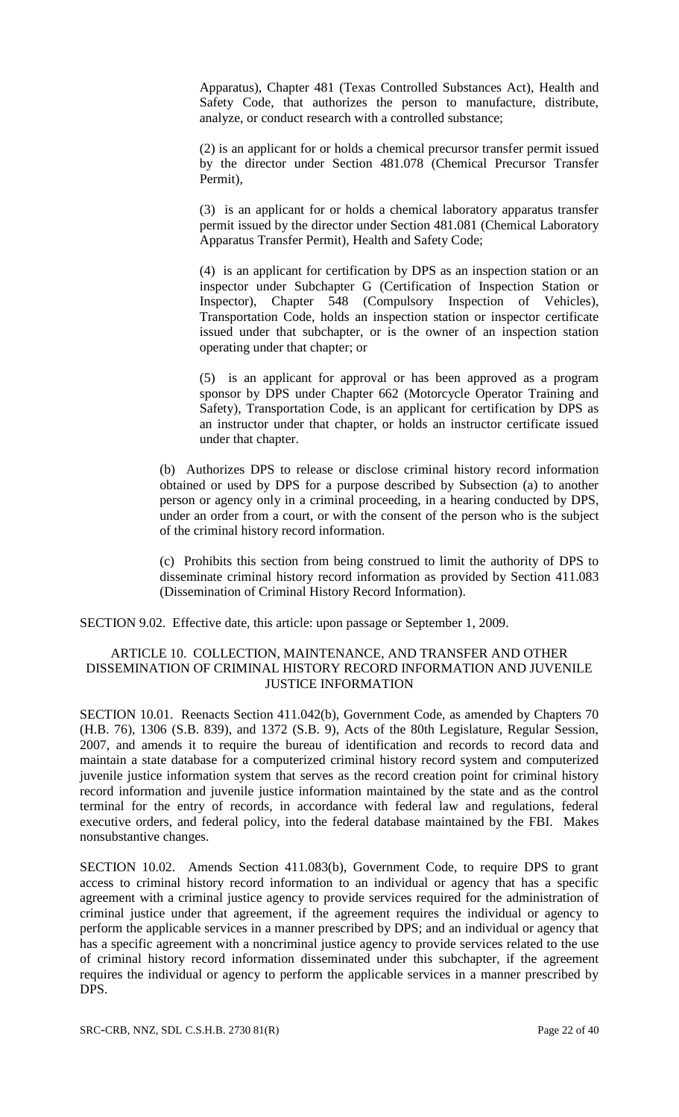Apparatus), Chapter 481 (Texas Controlled Substances Act), Health and Safety Code, that authorizes the person to manufacture, distribute, analyze, or conduct research with a controlled substance;

(2) is an applicant for or holds a chemical precursor transfer permit issued by the director under Section 481.078 (Chemical Precursor Transfer Permit),

(3) is an applicant for or holds a chemical laboratory apparatus transfer permit issued by the director under Section 481.081 (Chemical Laboratory Apparatus Transfer Permit), Health and Safety Code;

(4) is an applicant for certification by DPS as an inspection station or an inspector under Subchapter G (Certification of Inspection Station or Inspector), Chapter 548 (Compulsory Inspection of Vehicles), Transportation Code, holds an inspection station or inspector certificate issued under that subchapter, or is the owner of an inspection station operating under that chapter; or

(5) is an applicant for approval or has been approved as a program sponsor by DPS under Chapter 662 (Motorcycle Operator Training and Safety), Transportation Code, is an applicant for certification by DPS as an instructor under that chapter, or holds an instructor certificate issued under that chapter.

(b) Authorizes DPS to release or disclose criminal history record information obtained or used by DPS for a purpose described by Subsection (a) to another person or agency only in a criminal proceeding, in a hearing conducted by DPS, under an order from a court, or with the consent of the person who is the subject of the criminal history record information.

(c) Prohibits this section from being construed to limit the authority of DPS to disseminate criminal history record information as provided by Section 411.083 (Dissemination of Criminal History Record Information).

SECTION 9.02. Effective date, this article: upon passage or September 1, 2009.

### ARTICLE 10. COLLECTION, MAINTENANCE, AND TRANSFER AND OTHER DISSEMINATION OF CRIMINAL HISTORY RECORD INFORMATION AND JUVENILE JUSTICE INFORMATION

SECTION 10.01. Reenacts Section 411.042(b), Government Code, as amended by Chapters 70 (H.B. 76), 1306 (S.B. 839), and 1372 (S.B. 9), Acts of the 80th Legislature, Regular Session, 2007, and amends it to require the bureau of identification and records to record data and maintain a state database for a computerized criminal history record system and computerized juvenile justice information system that serves as the record creation point for criminal history record information and juvenile justice information maintained by the state and as the control terminal for the entry of records, in accordance with federal law and regulations, federal executive orders, and federal policy, into the federal database maintained by the FBI. Makes nonsubstantive changes.

SECTION 10.02. Amends Section 411.083(b), Government Code, to require DPS to grant access to criminal history record information to an individual or agency that has a specific agreement with a criminal justice agency to provide services required for the administration of criminal justice under that agreement, if the agreement requires the individual or agency to perform the applicable services in a manner prescribed by DPS; and an individual or agency that has a specific agreement with a noncriminal justice agency to provide services related to the use of criminal history record information disseminated under this subchapter, if the agreement requires the individual or agency to perform the applicable services in a manner prescribed by DPS.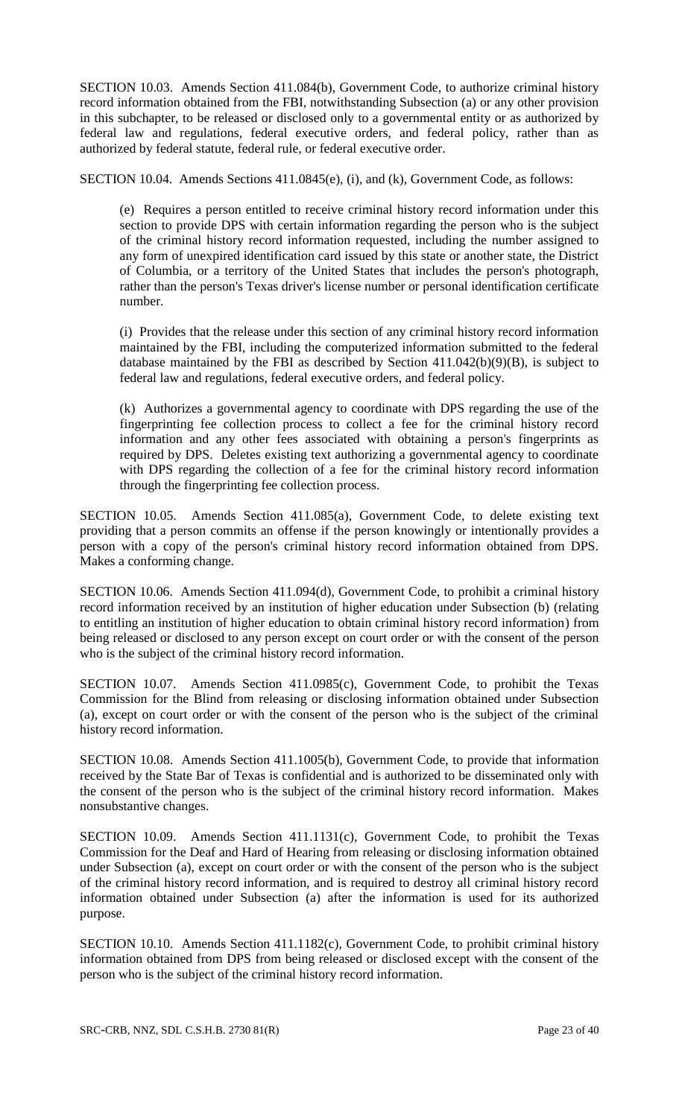SECTION 10.03. Amends Section 411.084(b), Government Code, to authorize criminal history record information obtained from the FBI, notwithstanding Subsection (a) or any other provision in this subchapter, to be released or disclosed only to a governmental entity or as authorized by federal law and regulations, federal executive orders, and federal policy, rather than as authorized by federal statute, federal rule, or federal executive order.

SECTION 10.04. Amends Sections 411.0845(e), (i), and (k), Government Code, as follows:

(e) Requires a person entitled to receive criminal history record information under this section to provide DPS with certain information regarding the person who is the subject of the criminal history record information requested, including the number assigned to any form of unexpired identification card issued by this state or another state, the District of Columbia, or a territory of the United States that includes the person's photograph, rather than the person's Texas driver's license number or personal identification certificate number.

(i) Provides that the release under this section of any criminal history record information maintained by the FBI, including the computerized information submitted to the federal database maintained by the FBI as described by Section 411.042(b)(9)(B), is subject to federal law and regulations, federal executive orders, and federal policy.

(k) Authorizes a governmental agency to coordinate with DPS regarding the use of the fingerprinting fee collection process to collect a fee for the criminal history record information and any other fees associated with obtaining a person's fingerprints as required by DPS. Deletes existing text authorizing a governmental agency to coordinate with DPS regarding the collection of a fee for the criminal history record information through the fingerprinting fee collection process.

SECTION 10.05. Amends Section 411.085(a), Government Code, to delete existing text providing that a person commits an offense if the person knowingly or intentionally provides a person with a copy of the person's criminal history record information obtained from DPS. Makes a conforming change.

SECTION 10.06. Amends Section 411.094(d), Government Code, to prohibit a criminal history record information received by an institution of higher education under Subsection (b) (relating to entitling an institution of higher education to obtain criminal history record information) from being released or disclosed to any person except on court order or with the consent of the person who is the subject of the criminal history record information.

SECTION 10.07. Amends Section 411.0985(c), Government Code, to prohibit the Texas Commission for the Blind from releasing or disclosing information obtained under Subsection (a), except on court order or with the consent of the person who is the subject of the criminal history record information.

SECTION 10.08. Amends Section 411.1005(b), Government Code, to provide that information received by the State Bar of Texas is confidential and is authorized to be disseminated only with the consent of the person who is the subject of the criminal history record information. Makes nonsubstantive changes.

SECTION 10.09. Amends Section 411.1131(c), Government Code, to prohibit the Texas Commission for the Deaf and Hard of Hearing from releasing or disclosing information obtained under Subsection (a), except on court order or with the consent of the person who is the subject of the criminal history record information, and is required to destroy all criminal history record information obtained under Subsection (a) after the information is used for its authorized purpose.

SECTION 10.10. Amends Section 411.1182(c), Government Code, to prohibit criminal history information obtained from DPS from being released or disclosed except with the consent of the person who is the subject of the criminal history record information.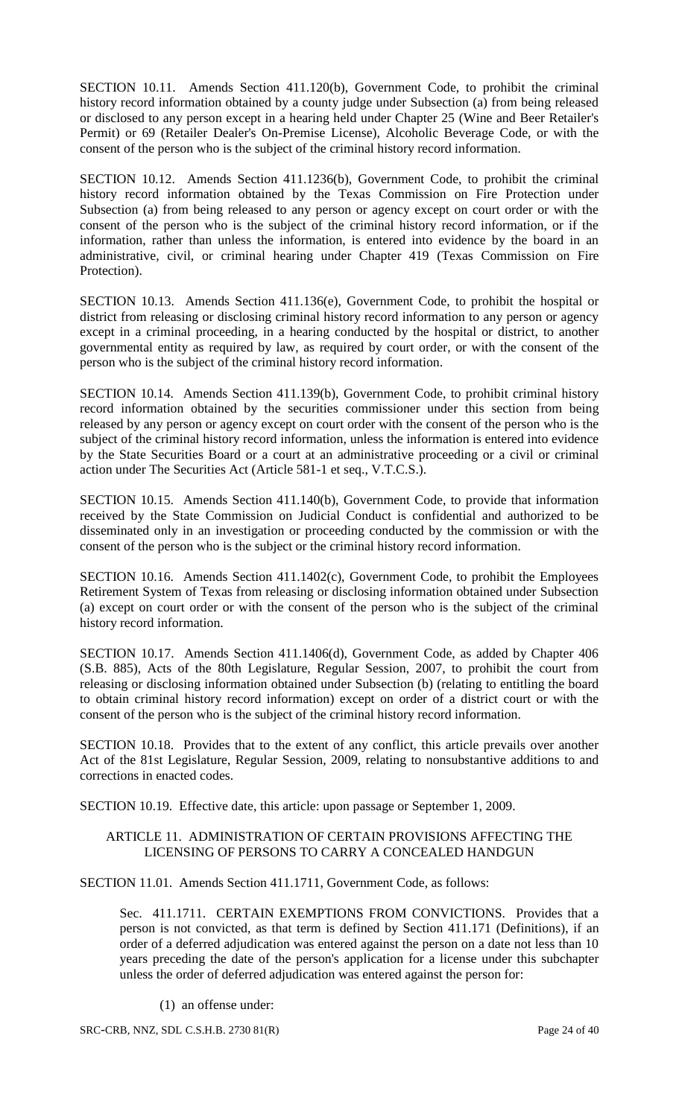SECTION 10.11. Amends Section 411.120(b), Government Code, to prohibit the criminal history record information obtained by a county judge under Subsection (a) from being released or disclosed to any person except in a hearing held under Chapter 25 (Wine and Beer Retailer's Permit) or 69 (Retailer Dealer's On-Premise License), Alcoholic Beverage Code, or with the consent of the person who is the subject of the criminal history record information.

SECTION 10.12. Amends Section 411.1236(b), Government Code, to prohibit the criminal history record information obtained by the Texas Commission on Fire Protection under Subsection (a) from being released to any person or agency except on court order or with the consent of the person who is the subject of the criminal history record information, or if the information, rather than unless the information, is entered into evidence by the board in an administrative, civil, or criminal hearing under Chapter 419 (Texas Commission on Fire Protection).

SECTION 10.13. Amends Section 411.136(e), Government Code, to prohibit the hospital or district from releasing or disclosing criminal history record information to any person or agency except in a criminal proceeding, in a hearing conducted by the hospital or district, to another governmental entity as required by law, as required by court order, or with the consent of the person who is the subject of the criminal history record information.

SECTION 10.14. Amends Section 411.139(b), Government Code, to prohibit criminal history record information obtained by the securities commissioner under this section from being released by any person or agency except on court order with the consent of the person who is the subject of the criminal history record information, unless the information is entered into evidence by the State Securities Board or a court at an administrative proceeding or a civil or criminal action under The Securities Act (Article 581-1 et seq., V.T.C.S.).

SECTION 10.15. Amends Section 411.140(b), Government Code, to provide that information received by the State Commission on Judicial Conduct is confidential and authorized to be disseminated only in an investigation or proceeding conducted by the commission or with the consent of the person who is the subject or the criminal history record information.

SECTION 10.16. Amends Section 411.1402(c), Government Code, to prohibit the Employees Retirement System of Texas from releasing or disclosing information obtained under Subsection (a) except on court order or with the consent of the person who is the subject of the criminal history record information.

SECTION 10.17. Amends Section 411.1406(d), Government Code, as added by Chapter 406 (S.B. 885), Acts of the 80th Legislature, Regular Session, 2007, to prohibit the court from releasing or disclosing information obtained under Subsection (b) (relating to entitling the board to obtain criminal history record information) except on order of a district court or with the consent of the person who is the subject of the criminal history record information.

SECTION 10.18. Provides that to the extent of any conflict, this article prevails over another Act of the 81st Legislature, Regular Session, 2009, relating to nonsubstantive additions to and corrections in enacted codes.

SECTION 10.19. Effective date, this article: upon passage or September 1, 2009.

### ARTICLE 11. ADMINISTRATION OF CERTAIN PROVISIONS AFFECTING THE LICENSING OF PERSONS TO CARRY A CONCEALED HANDGUN

SECTION 11.01. Amends Section 411.1711, Government Code, as follows:

Sec. 411.1711. CERTAIN EXEMPTIONS FROM CONVICTIONS. Provides that a person is not convicted, as that term is defined by Section 411.171 (Definitions), if an order of a deferred adjudication was entered against the person on a date not less than 10 years preceding the date of the person's application for a license under this subchapter unless the order of deferred adjudication was entered against the person for:

(1) an offense under: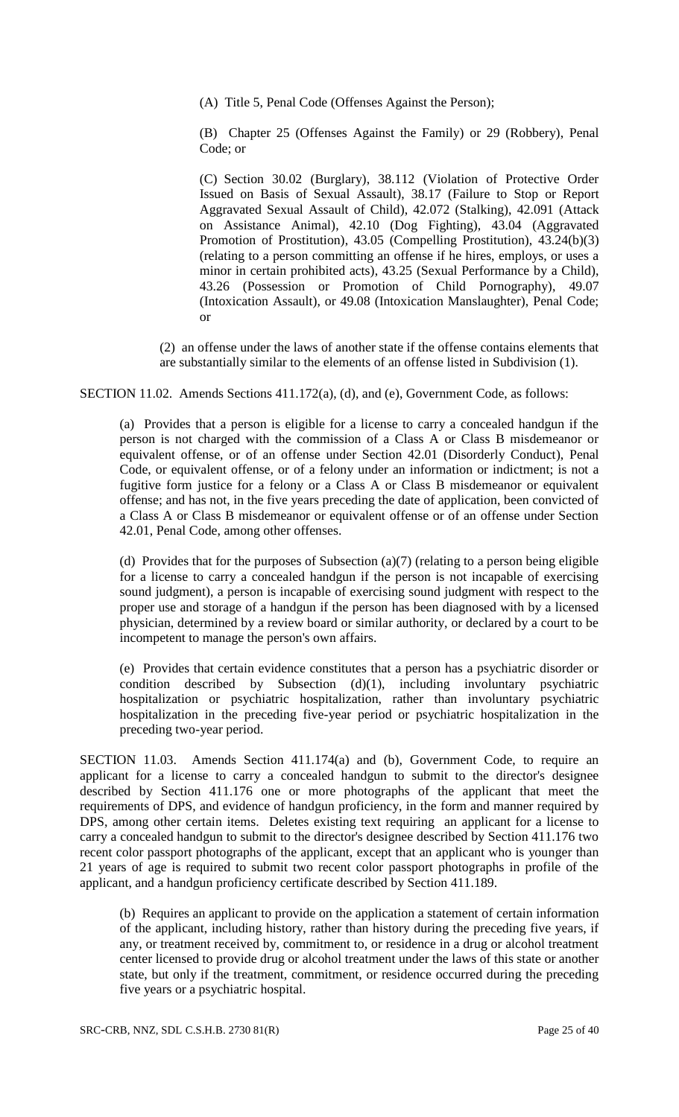(A) Title 5, Penal Code (Offenses Against the Person);

(B) Chapter 25 (Offenses Against the Family) or 29 (Robbery), Penal Code; or

(C) Section 30.02 (Burglary), 38.112 (Violation of Protective Order Issued on Basis of Sexual Assault), 38.17 (Failure to Stop or Report Aggravated Sexual Assault of Child), 42.072 (Stalking), 42.091 (Attack on Assistance Animal), 42.10 (Dog Fighting), 43.04 (Aggravated Promotion of Prostitution), 43.05 (Compelling Prostitution), 43.24(b)(3) (relating to a person committing an offense if he hires, employs, or uses a minor in certain prohibited acts), 43.25 (Sexual Performance by a Child), 43.26 (Possession or Promotion of Child Pornography), 49.07 (Intoxication Assault), or 49.08 (Intoxication Manslaughter), Penal Code; or

(2) an offense under the laws of another state if the offense contains elements that are substantially similar to the elements of an offense listed in Subdivision (1).

SECTION 11.02. Amends Sections 411.172(a), (d), and (e), Government Code, as follows:

(a) Provides that a person is eligible for a license to carry a concealed handgun if the person is not charged with the commission of a Class A or Class B misdemeanor or equivalent offense, or of an offense under Section 42.01 (Disorderly Conduct), Penal Code, or equivalent offense, or of a felony under an information or indictment; is not a fugitive form justice for a felony or a Class A or Class B misdemeanor or equivalent offense; and has not, in the five years preceding the date of application, been convicted of a Class A or Class B misdemeanor or equivalent offense or of an offense under Section 42.01, Penal Code, among other offenses.

(d) Provides that for the purposes of Subsection (a)(7) (relating to a person being eligible for a license to carry a concealed handgun if the person is not incapable of exercising sound judgment), a person is incapable of exercising sound judgment with respect to the proper use and storage of a handgun if the person has been diagnosed with by a licensed physician, determined by a review board or similar authority, or declared by a court to be incompetent to manage the person's own affairs.

(e) Provides that certain evidence constitutes that a person has a psychiatric disorder or condition described by Subsection  $(d)(1)$ , including involuntary psychiatric hospitalization or psychiatric hospitalization, rather than involuntary psychiatric hospitalization in the preceding five-year period or psychiatric hospitalization in the preceding two-year period.

SECTION 11.03. Amends Section 411.174(a) and (b), Government Code, to require an applicant for a license to carry a concealed handgun to submit to the director's designee described by Section 411.176 one or more photographs of the applicant that meet the requirements of DPS, and evidence of handgun proficiency, in the form and manner required by DPS, among other certain items. Deletes existing text requiring an applicant for a license to carry a concealed handgun to submit to the director's designee described by Section 411.176 two recent color passport photographs of the applicant, except that an applicant who is younger than 21 years of age is required to submit two recent color passport photographs in profile of the applicant, and a handgun proficiency certificate described by Section 411.189.

(b) Requires an applicant to provide on the application a statement of certain information of the applicant, including history, rather than history during the preceding five years, if any, or treatment received by, commitment to, or residence in a drug or alcohol treatment center licensed to provide drug or alcohol treatment under the laws of this state or another state, but only if the treatment, commitment, or residence occurred during the preceding five years or a psychiatric hospital.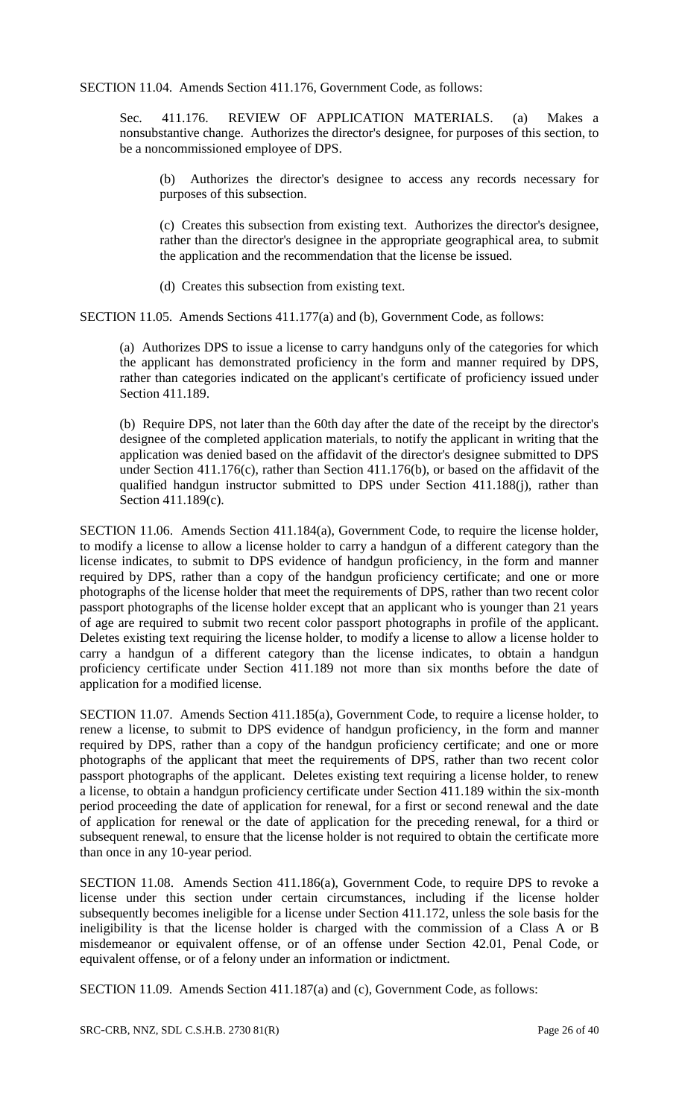SECTION 11.04. Amends Section 411.176, Government Code, as follows:

Sec. 411.176. REVIEW OF APPLICATION MATERIALS. (a) Makes a nonsubstantive change. Authorizes the director's designee, for purposes of this section, to be a noncommissioned employee of DPS.

(b) Authorizes the director's designee to access any records necessary for purposes of this subsection.

(c) Creates this subsection from existing text. Authorizes the director's designee, rather than the director's designee in the appropriate geographical area, to submit the application and the recommendation that the license be issued.

(d) Creates this subsection from existing text.

SECTION 11.05. Amends Sections 411.177(a) and (b), Government Code, as follows:

(a) Authorizes DPS to issue a license to carry handguns only of the categories for which the applicant has demonstrated proficiency in the form and manner required by DPS, rather than categories indicated on the applicant's certificate of proficiency issued under Section 411.189.

(b) Require DPS, not later than the 60th day after the date of the receipt by the director's designee of the completed application materials, to notify the applicant in writing that the application was denied based on the affidavit of the director's designee submitted to DPS under Section 411.176(c), rather than Section 411.176(b), or based on the affidavit of the qualified handgun instructor submitted to DPS under Section 411.188(j), rather than Section 411.189(c).

SECTION 11.06. Amends Section 411.184(a), Government Code, to require the license holder, to modify a license to allow a license holder to carry a handgun of a different category than the license indicates, to submit to DPS evidence of handgun proficiency, in the form and manner required by DPS, rather than a copy of the handgun proficiency certificate; and one or more photographs of the license holder that meet the requirements of DPS, rather than two recent color passport photographs of the license holder except that an applicant who is younger than 21 years of age are required to submit two recent color passport photographs in profile of the applicant. Deletes existing text requiring the license holder, to modify a license to allow a license holder to carry a handgun of a different category than the license indicates, to obtain a handgun proficiency certificate under Section 411.189 not more than six months before the date of application for a modified license.

SECTION 11.07. Amends Section 411.185(a), Government Code, to require a license holder, to renew a license, to submit to DPS evidence of handgun proficiency, in the form and manner required by DPS, rather than a copy of the handgun proficiency certificate; and one or more photographs of the applicant that meet the requirements of DPS, rather than two recent color passport photographs of the applicant. Deletes existing text requiring a license holder, to renew a license, to obtain a handgun proficiency certificate under Section 411.189 within the six-month period proceeding the date of application for renewal, for a first or second renewal and the date of application for renewal or the date of application for the preceding renewal, for a third or subsequent renewal, to ensure that the license holder is not required to obtain the certificate more than once in any 10-year period.

SECTION 11.08. Amends Section 411.186(a), Government Code, to require DPS to revoke a license under this section under certain circumstances, including if the license holder subsequently becomes ineligible for a license under Section 411.172, unless the sole basis for the ineligibility is that the license holder is charged with the commission of a Class A or B misdemeanor or equivalent offense, or of an offense under Section 42.01, Penal Code, or equivalent offense, or of a felony under an information or indictment.

SECTION 11.09. Amends Section 411.187(a) and (c), Government Code, as follows: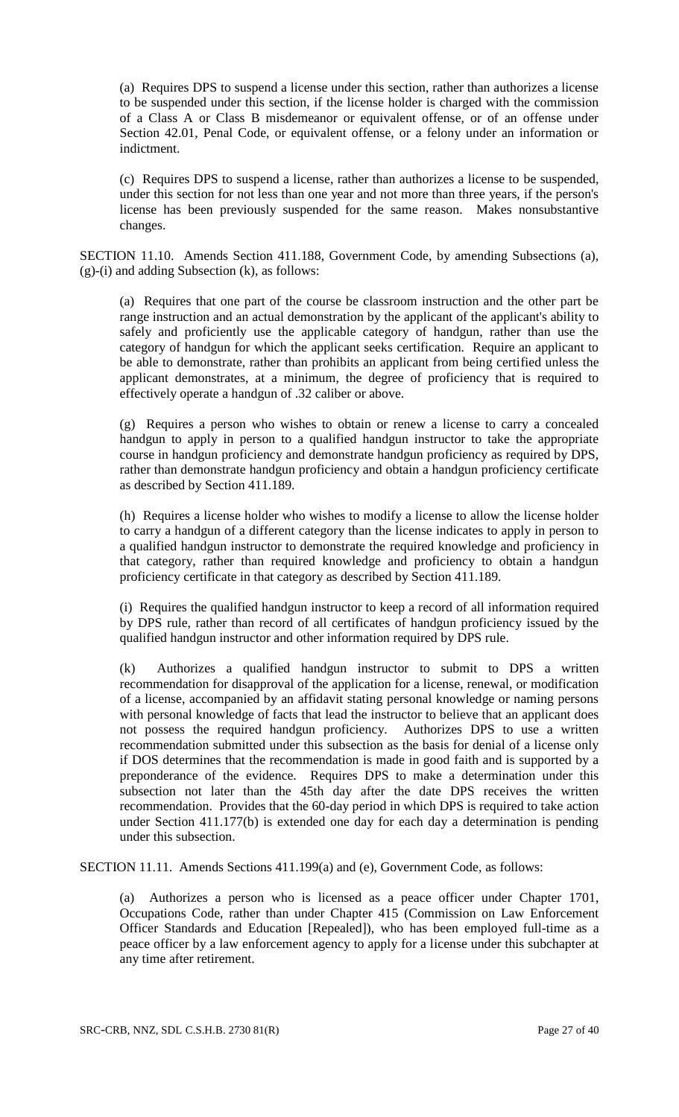(a) Requires DPS to suspend a license under this section, rather than authorizes a license to be suspended under this section, if the license holder is charged with the commission of a Class A or Class B misdemeanor or equivalent offense, or of an offense under Section 42.01, Penal Code, or equivalent offense, or a felony under an information or indictment.

(c) Requires DPS to suspend a license, rather than authorizes a license to be suspended, under this section for not less than one year and not more than three years, if the person's license has been previously suspended for the same reason. Makes nonsubstantive changes.

SECTION 11.10. Amends Section 411.188, Government Code, by amending Subsections (a), (g)-(i) and adding Subsection (k), as follows:

(a) Requires that one part of the course be classroom instruction and the other part be range instruction and an actual demonstration by the applicant of the applicant's ability to safely and proficiently use the applicable category of handgun, rather than use the category of handgun for which the applicant seeks certification. Require an applicant to be able to demonstrate, rather than prohibits an applicant from being certified unless the applicant demonstrates, at a minimum, the degree of proficiency that is required to effectively operate a handgun of .32 caliber or above.

(g) Requires a person who wishes to obtain or renew a license to carry a concealed handgun to apply in person to a qualified handgun instructor to take the appropriate course in handgun proficiency and demonstrate handgun proficiency as required by DPS, rather than demonstrate handgun proficiency and obtain a handgun proficiency certificate as described by Section 411.189.

(h) Requires a license holder who wishes to modify a license to allow the license holder to carry a handgun of a different category than the license indicates to apply in person to a qualified handgun instructor to demonstrate the required knowledge and proficiency in that category, rather than required knowledge and proficiency to obtain a handgun proficiency certificate in that category as described by Section 411.189.

(i) Requires the qualified handgun instructor to keep a record of all information required by DPS rule, rather than record of all certificates of handgun proficiency issued by the qualified handgun instructor and other information required by DPS rule.

(k) Authorizes a qualified handgun instructor to submit to DPS a written recommendation for disapproval of the application for a license, renewal, or modification of a license, accompanied by an affidavit stating personal knowledge or naming persons with personal knowledge of facts that lead the instructor to believe that an applicant does not possess the required handgun proficiency. Authorizes DPS to use a written recommendation submitted under this subsection as the basis for denial of a license only if DOS determines that the recommendation is made in good faith and is supported by a preponderance of the evidence. Requires DPS to make a determination under this subsection not later than the 45th day after the date DPS receives the written recommendation. Provides that the 60-day period in which DPS is required to take action under Section 411.177(b) is extended one day for each day a determination is pending under this subsection.

SECTION 11.11. Amends Sections 411.199(a) and (e), Government Code, as follows:

(a) Authorizes a person who is licensed as a peace officer under Chapter 1701, Occupations Code, rather than under Chapter 415 (Commission on Law Enforcement Officer Standards and Education [Repealed]), who has been employed full-time as a peace officer by a law enforcement agency to apply for a license under this subchapter at any time after retirement.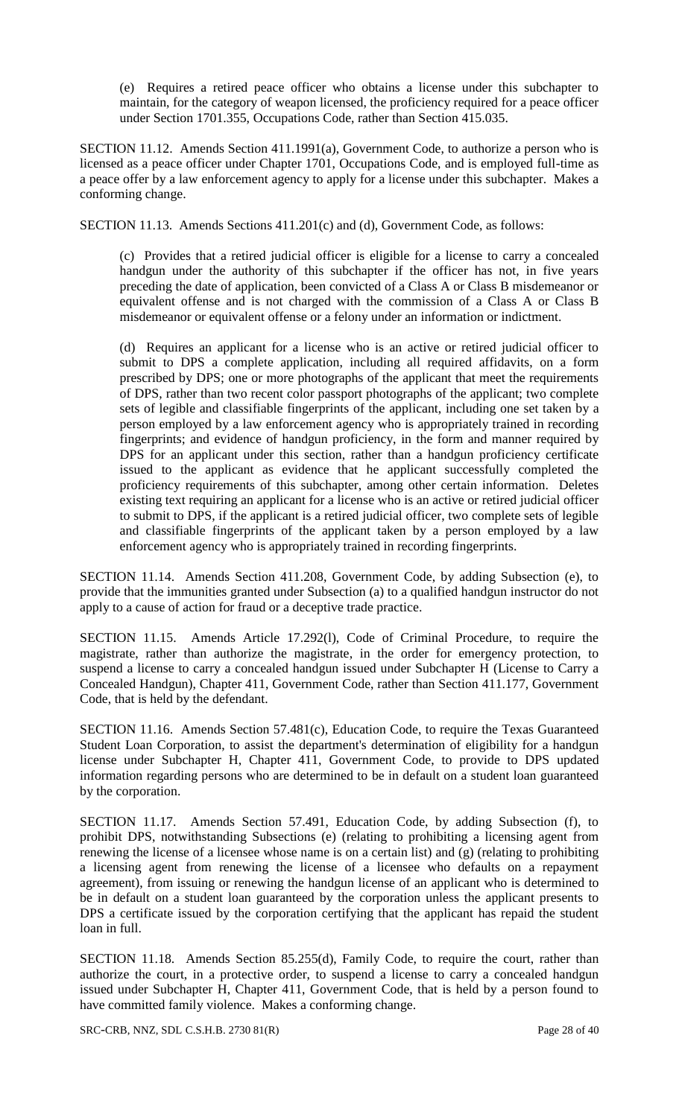(e) Requires a retired peace officer who obtains a license under this subchapter to maintain, for the category of weapon licensed, the proficiency required for a peace officer under Section 1701.355, Occupations Code, rather than Section 415.035.

SECTION 11.12. Amends Section 411.1991(a), Government Code, to authorize a person who is licensed as a peace officer under Chapter 1701, Occupations Code, and is employed full-time as a peace offer by a law enforcement agency to apply for a license under this subchapter. Makes a conforming change.

SECTION 11.13. Amends Sections 411.201(c) and (d), Government Code, as follows:

(c) Provides that a retired judicial officer is eligible for a license to carry a concealed handgun under the authority of this subchapter if the officer has not, in five years preceding the date of application, been convicted of a Class A or Class B misdemeanor or equivalent offense and is not charged with the commission of a Class A or Class B misdemeanor or equivalent offense or a felony under an information or indictment.

(d) Requires an applicant for a license who is an active or retired judicial officer to submit to DPS a complete application, including all required affidavits, on a form prescribed by DPS; one or more photographs of the applicant that meet the requirements of DPS, rather than two recent color passport photographs of the applicant; two complete sets of legible and classifiable fingerprints of the applicant, including one set taken by a person employed by a law enforcement agency who is appropriately trained in recording fingerprints; and evidence of handgun proficiency, in the form and manner required by DPS for an applicant under this section, rather than a handgun proficiency certificate issued to the applicant as evidence that he applicant successfully completed the proficiency requirements of this subchapter, among other certain information. Deletes existing text requiring an applicant for a license who is an active or retired judicial officer to submit to DPS, if the applicant is a retired judicial officer, two complete sets of legible and classifiable fingerprints of the applicant taken by a person employed by a law enforcement agency who is appropriately trained in recording fingerprints.

SECTION 11.14. Amends Section 411.208, Government Code, by adding Subsection (e), to provide that the immunities granted under Subsection (a) to a qualified handgun instructor do not apply to a cause of action for fraud or a deceptive trade practice.

SECTION 11.15. Amends Article 17.292(l), Code of Criminal Procedure, to require the magistrate, rather than authorize the magistrate, in the order for emergency protection, to suspend a license to carry a concealed handgun issued under Subchapter H (License to Carry a Concealed Handgun), Chapter 411, Government Code, rather than Section 411.177, Government Code, that is held by the defendant.

SECTION 11.16. Amends Section 57.481(c), Education Code, to require the Texas Guaranteed Student Loan Corporation, to assist the department's determination of eligibility for a handgun license under Subchapter H, Chapter 411, Government Code, to provide to DPS updated information regarding persons who are determined to be in default on a student loan guaranteed by the corporation.

SECTION 11.17. Amends Section 57.491, Education Code, by adding Subsection (f), to prohibit DPS, notwithstanding Subsections (e) (relating to prohibiting a licensing agent from renewing the license of a licensee whose name is on a certain list) and (g) (relating to prohibiting a licensing agent from renewing the license of a licensee who defaults on a repayment agreement), from issuing or renewing the handgun license of an applicant who is determined to be in default on a student loan guaranteed by the corporation unless the applicant presents to DPS a certificate issued by the corporation certifying that the applicant has repaid the student loan in full.

SECTION 11.18. Amends Section 85.255(d), Family Code, to require the court, rather than authorize the court, in a protective order, to suspend a license to carry a concealed handgun issued under Subchapter H, Chapter 411, Government Code, that is held by a person found to have committed family violence. Makes a conforming change.

SRC-CRB, NNZ, SDL C.S.H.B. 2730 81(R) Page 28 of 40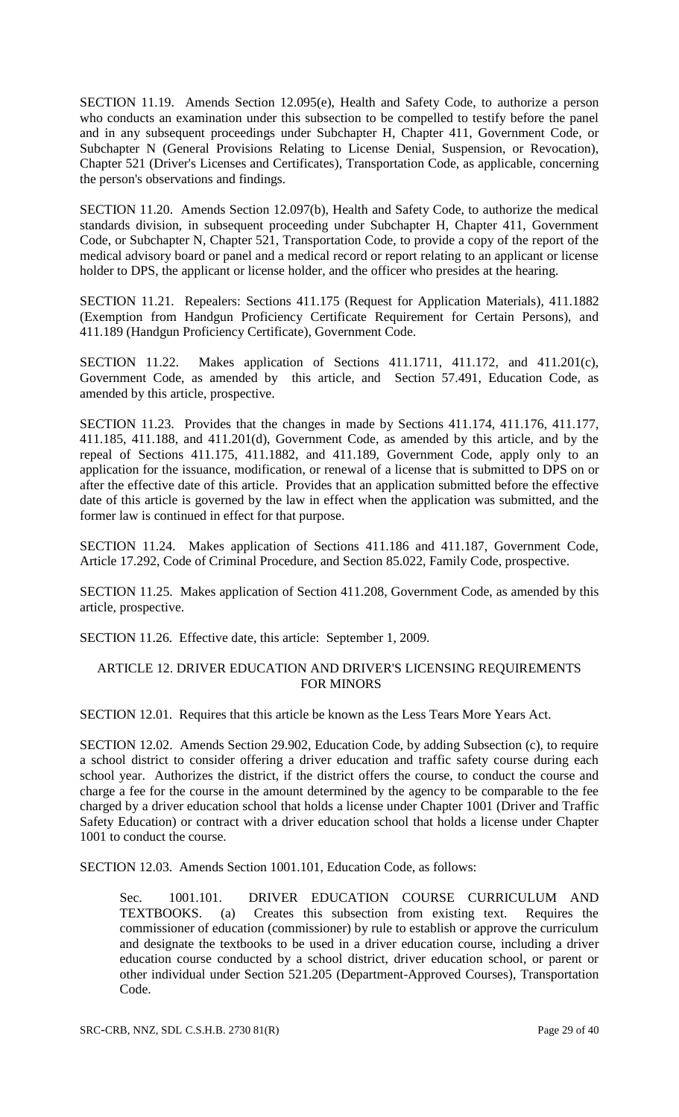SECTION 11.19. Amends Section 12.095(e), Health and Safety Code, to authorize a person who conducts an examination under this subsection to be compelled to testify before the panel and in any subsequent proceedings under Subchapter H, Chapter 411, Government Code, or Subchapter N (General Provisions Relating to License Denial, Suspension, or Revocation), Chapter 521 (Driver's Licenses and Certificates), Transportation Code, as applicable, concerning the person's observations and findings.

SECTION 11.20. Amends Section 12.097(b), Health and Safety Code, to authorize the medical standards division, in subsequent proceeding under Subchapter H, Chapter 411, Government Code, or Subchapter N, Chapter 521, Transportation Code, to provide a copy of the report of the medical advisory board or panel and a medical record or report relating to an applicant or license holder to DPS, the applicant or license holder, and the officer who presides at the hearing.

SECTION 11.21. Repealers: Sections 411.175 (Request for Application Materials), 411.1882 (Exemption from Handgun Proficiency Certificate Requirement for Certain Persons), and 411.189 (Handgun Proficiency Certificate), Government Code.

SECTION 11.22. Makes application of Sections 411.1711, 411.172, and 411.201(c), Government Code, as amended by this article, and Section 57.491, Education Code, as amended by this article, prospective.

SECTION 11.23. Provides that the changes in made by Sections 411.174, 411.176, 411.177, 411.185, 411.188, and 411.201(d), Government Code, as amended by this article, and by the repeal of Sections 411.175, 411.1882, and 411.189, Government Code, apply only to an application for the issuance, modification, or renewal of a license that is submitted to DPS on or after the effective date of this article. Provides that an application submitted before the effective date of this article is governed by the law in effect when the application was submitted, and the former law is continued in effect for that purpose.

SECTION 11.24. Makes application of Sections 411.186 and 411.187, Government Code, Article 17.292, Code of Criminal Procedure, and Section 85.022, Family Code, prospective.

SECTION 11.25. Makes application of Section 411.208, Government Code, as amended by this article, prospective.

SECTION 11.26. Effective date, this article: September 1, 2009.

### ARTICLE 12. DRIVER EDUCATION AND DRIVER'S LICENSING REQUIREMENTS FOR MINORS

SECTION 12.01. Requires that this article be known as the Less Tears More Years Act.

SECTION 12.02. Amends Section 29.902, Education Code, by adding Subsection (c), to require a school district to consider offering a driver education and traffic safety course during each school year. Authorizes the district, if the district offers the course, to conduct the course and charge a fee for the course in the amount determined by the agency to be comparable to the fee charged by a driver education school that holds a license under Chapter 1001 (Driver and Traffic Safety Education) or contract with a driver education school that holds a license under Chapter 1001 to conduct the course.

SECTION 12.03. Amends Section 1001.101, Education Code, as follows:

Sec. 1001.101. DRIVER EDUCATION COURSE CURRICULUM AND TEXTBOOKS. (a) Creates this subsection from existing text. Requires the commissioner of education (commissioner) by rule to establish or approve the curriculum and designate the textbooks to be used in a driver education course, including a driver education course conducted by a school district, driver education school, or parent or other individual under Section 521.205 (Department-Approved Courses), Transportation Code.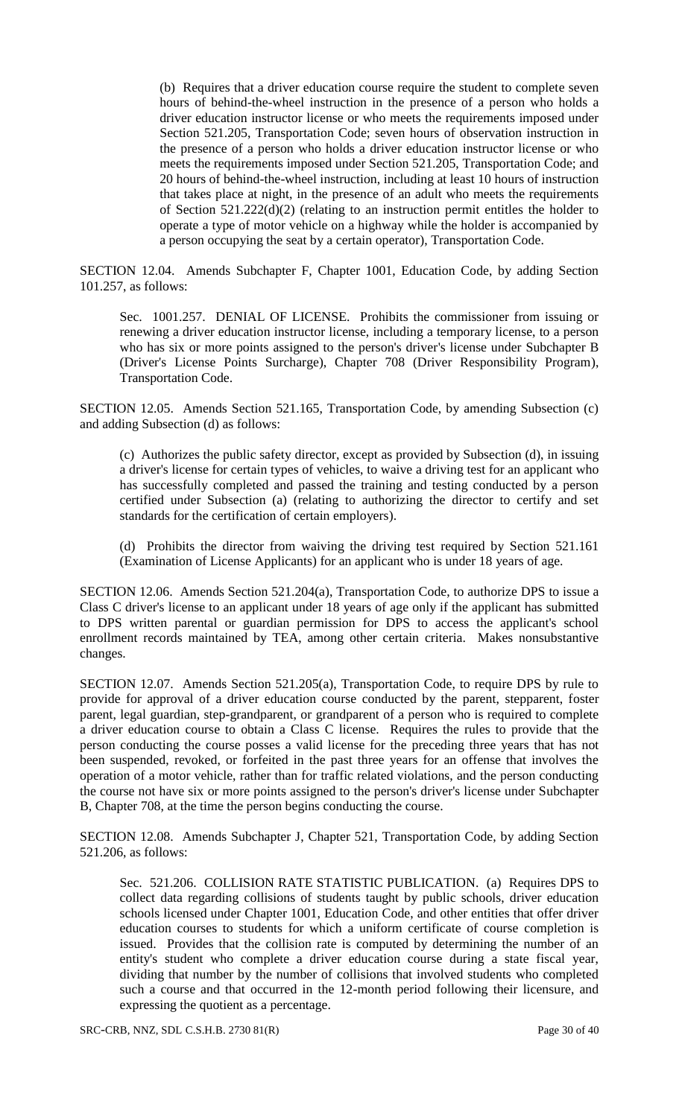(b) Requires that a driver education course require the student to complete seven hours of behind-the-wheel instruction in the presence of a person who holds a driver education instructor license or who meets the requirements imposed under Section 521.205, Transportation Code; seven hours of observation instruction in the presence of a person who holds a driver education instructor license or who meets the requirements imposed under Section 521.205, Transportation Code; and 20 hours of behind-the-wheel instruction, including at least 10 hours of instruction that takes place at night, in the presence of an adult who meets the requirements of Section 521.222(d)(2) (relating to an instruction permit entitles the holder to operate a type of motor vehicle on a highway while the holder is accompanied by a person occupying the seat by a certain operator), Transportation Code.

SECTION 12.04. Amends Subchapter F, Chapter 1001, Education Code, by adding Section 101.257, as follows:

Sec. 1001.257. DENIAL OF LICENSE. Prohibits the commissioner from issuing or renewing a driver education instructor license, including a temporary license, to a person who has six or more points assigned to the person's driver's license under Subchapter B (Driver's License Points Surcharge), Chapter 708 (Driver Responsibility Program), Transportation Code.

SECTION 12.05. Amends Section 521.165, Transportation Code, by amending Subsection (c) and adding Subsection (d) as follows:

(c) Authorizes the public safety director, except as provided by Subsection (d), in issuing a driver's license for certain types of vehicles, to waive a driving test for an applicant who has successfully completed and passed the training and testing conducted by a person certified under Subsection (a) (relating to authorizing the director to certify and set standards for the certification of certain employers).

(d) Prohibits the director from waiving the driving test required by Section 521.161 (Examination of License Applicants) for an applicant who is under 18 years of age.

SECTION 12.06. Amends Section 521.204(a), Transportation Code, to authorize DPS to issue a Class C driver's license to an applicant under 18 years of age only if the applicant has submitted to DPS written parental or guardian permission for DPS to access the applicant's school enrollment records maintained by TEA, among other certain criteria. Makes nonsubstantive changes.

SECTION 12.07. Amends Section 521.205(a), Transportation Code, to require DPS by rule to provide for approval of a driver education course conducted by the parent, stepparent, foster parent, legal guardian, step-grandparent, or grandparent of a person who is required to complete a driver education course to obtain a Class C license. Requires the rules to provide that the person conducting the course posses a valid license for the preceding three years that has not been suspended, revoked, or forfeited in the past three years for an offense that involves the operation of a motor vehicle, rather than for traffic related violations, and the person conducting the course not have six or more points assigned to the person's driver's license under Subchapter B, Chapter 708, at the time the person begins conducting the course.

SECTION 12.08. Amends Subchapter J, Chapter 521, Transportation Code, by adding Section 521.206, as follows:

Sec. 521.206. COLLISION RATE STATISTIC PUBLICATION. (a) Requires DPS to collect data regarding collisions of students taught by public schools, driver education schools licensed under Chapter 1001, Education Code, and other entities that offer driver education courses to students for which a uniform certificate of course completion is issued. Provides that the collision rate is computed by determining the number of an entity's student who complete a driver education course during a state fiscal year, dividing that number by the number of collisions that involved students who completed such a course and that occurred in the 12-month period following their licensure, and expressing the quotient as a percentage.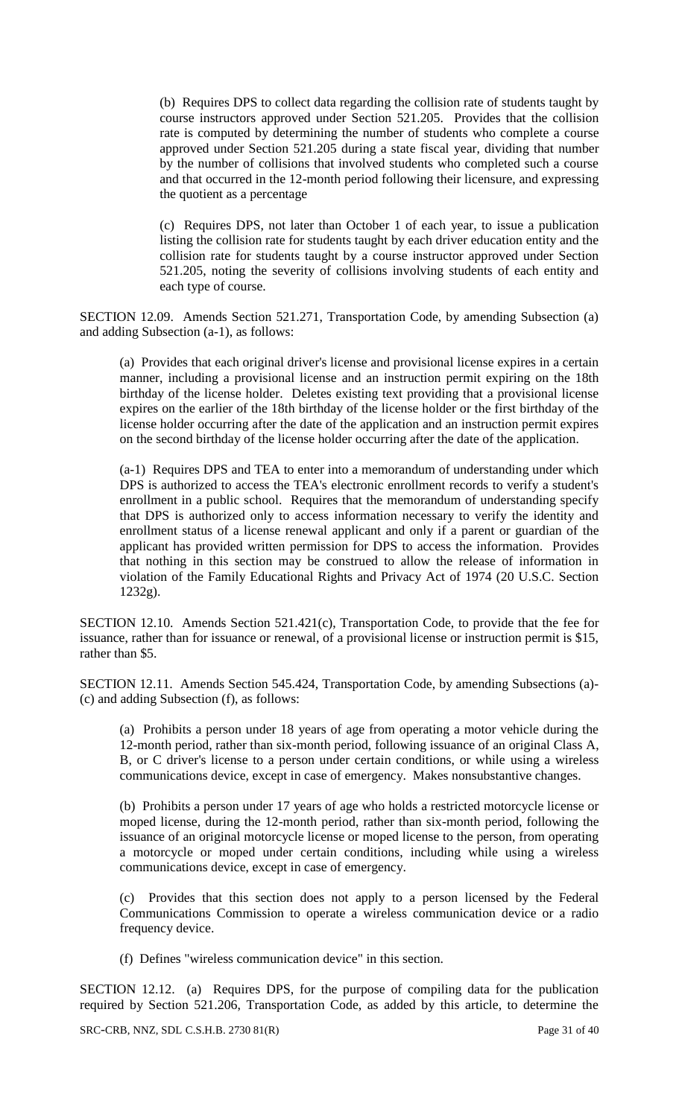(b) Requires DPS to collect data regarding the collision rate of students taught by course instructors approved under Section 521.205. Provides that the collision rate is computed by determining the number of students who complete a course approved under Section 521.205 during a state fiscal year, dividing that number by the number of collisions that involved students who completed such a course and that occurred in the 12-month period following their licensure, and expressing the quotient as a percentage

(c) Requires DPS, not later than October 1 of each year, to issue a publication listing the collision rate for students taught by each driver education entity and the collision rate for students taught by a course instructor approved under Section 521.205, noting the severity of collisions involving students of each entity and each type of course.

SECTION 12.09. Amends Section 521.271, Transportation Code, by amending Subsection (a) and adding Subsection (a-1), as follows:

(a) Provides that each original driver's license and provisional license expires in a certain manner, including a provisional license and an instruction permit expiring on the 18th birthday of the license holder. Deletes existing text providing that a provisional license expires on the earlier of the 18th birthday of the license holder or the first birthday of the license holder occurring after the date of the application and an instruction permit expires on the second birthday of the license holder occurring after the date of the application.

(a-1) Requires DPS and TEA to enter into a memorandum of understanding under which DPS is authorized to access the TEA's electronic enrollment records to verify a student's enrollment in a public school. Requires that the memorandum of understanding specify that DPS is authorized only to access information necessary to verify the identity and enrollment status of a license renewal applicant and only if a parent or guardian of the applicant has provided written permission for DPS to access the information. Provides that nothing in this section may be construed to allow the release of information in violation of the Family Educational Rights and Privacy Act of 1974 (20 U.S.C. Section 1232g).

SECTION 12.10. Amends Section 521.421(c), Transportation Code, to provide that the fee for issuance, rather than for issuance or renewal, of a provisional license or instruction permit is \$15, rather than \$5.

SECTION 12.11. Amends Section 545.424, Transportation Code, by amending Subsections (a)- (c) and adding Subsection (f), as follows:

(a) Prohibits a person under 18 years of age from operating a motor vehicle during the 12-month period, rather than six-month period, following issuance of an original Class A, B, or C driver's license to a person under certain conditions, or while using a wireless communications device, except in case of emergency. Makes nonsubstantive changes.

(b) Prohibits a person under 17 years of age who holds a restricted motorcycle license or moped license, during the 12-month period, rather than six-month period, following the issuance of an original motorcycle license or moped license to the person, from operating a motorcycle or moped under certain conditions, including while using a wireless communications device, except in case of emergency.

(c) Provides that this section does not apply to a person licensed by the Federal Communications Commission to operate a wireless communication device or a radio frequency device.

(f) Defines "wireless communication device" in this section.

SECTION 12.12. (a) Requires DPS, for the purpose of compiling data for the publication required by Section 521.206, Transportation Code, as added by this article, to determine the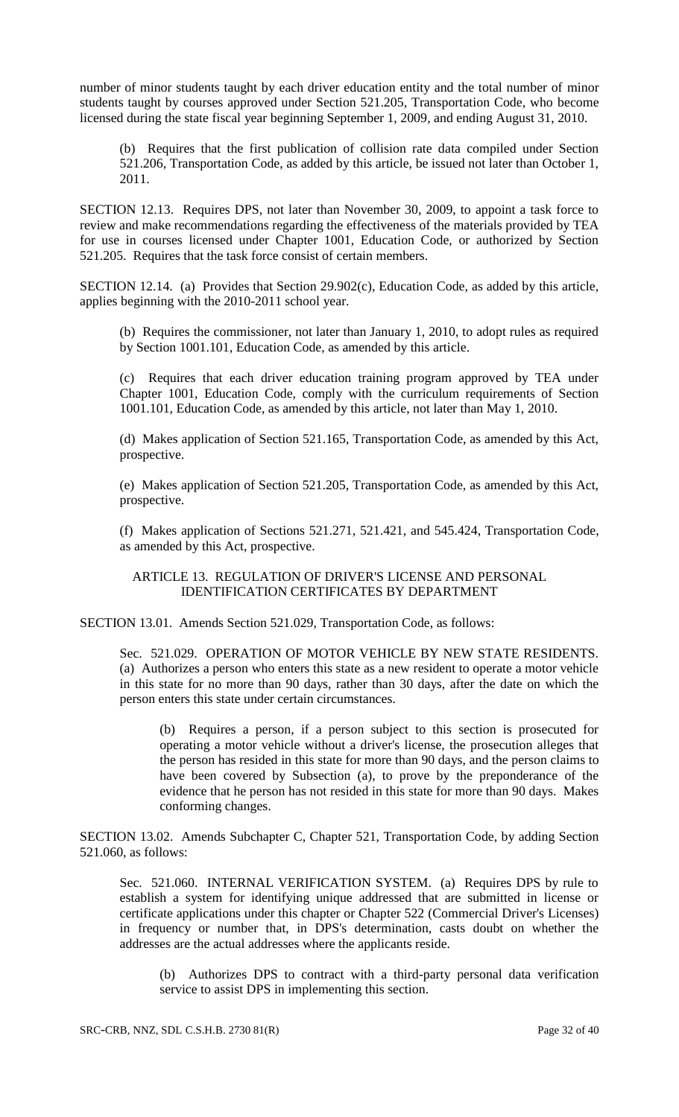number of minor students taught by each driver education entity and the total number of minor students taught by courses approved under Section 521.205, Transportation Code, who become licensed during the state fiscal year beginning September 1, 2009, and ending August 31, 2010.

(b) Requires that the first publication of collision rate data compiled under Section 521.206, Transportation Code, as added by this article, be issued not later than October 1, 2011.

SECTION 12.13. Requires DPS, not later than November 30, 2009, to appoint a task force to review and make recommendations regarding the effectiveness of the materials provided by TEA for use in courses licensed under Chapter 1001, Education Code, or authorized by Section 521.205. Requires that the task force consist of certain members.

SECTION 12.14. (a) Provides that Section 29.902(c), Education Code, as added by this article, applies beginning with the 2010-2011 school year.

(b) Requires the commissioner, not later than January 1, 2010, to adopt rules as required by Section 1001.101, Education Code, as amended by this article.

(c) Requires that each driver education training program approved by TEA under Chapter 1001, Education Code, comply with the curriculum requirements of Section 1001.101, Education Code, as amended by this article, not later than May 1, 2010.

(d) Makes application of Section 521.165, Transportation Code, as amended by this Act, prospective.

(e) Makes application of Section 521.205, Transportation Code, as amended by this Act, prospective.

(f) Makes application of Sections 521.271, 521.421, and 545.424, Transportation Code, as amended by this Act, prospective.

ARTICLE 13. REGULATION OF DRIVER'S LICENSE AND PERSONAL IDENTIFICATION CERTIFICATES BY DEPARTMENT

SECTION 13.01. Amends Section 521.029, Transportation Code, as follows:

Sec. 521.029. OPERATION OF MOTOR VEHICLE BY NEW STATE RESIDENTS. (a) Authorizes a person who enters this state as a new resident to operate a motor vehicle in this state for no more than 90 days, rather than 30 days, after the date on which the person enters this state under certain circumstances.

(b) Requires a person, if a person subject to this section is prosecuted for operating a motor vehicle without a driver's license, the prosecution alleges that the person has resided in this state for more than 90 days, and the person claims to have been covered by Subsection (a), to prove by the preponderance of the evidence that he person has not resided in this state for more than 90 days. Makes conforming changes.

SECTION 13.02. Amends Subchapter C, Chapter 521, Transportation Code, by adding Section 521.060, as follows:

Sec. 521.060. INTERNAL VERIFICATION SYSTEM. (a) Requires DPS by rule to establish a system for identifying unique addressed that are submitted in license or certificate applications under this chapter or Chapter 522 (Commercial Driver's Licenses) in frequency or number that, in DPS's determination, casts doubt on whether the addresses are the actual addresses where the applicants reside.

(b) Authorizes DPS to contract with a third-party personal data verification service to assist DPS in implementing this section.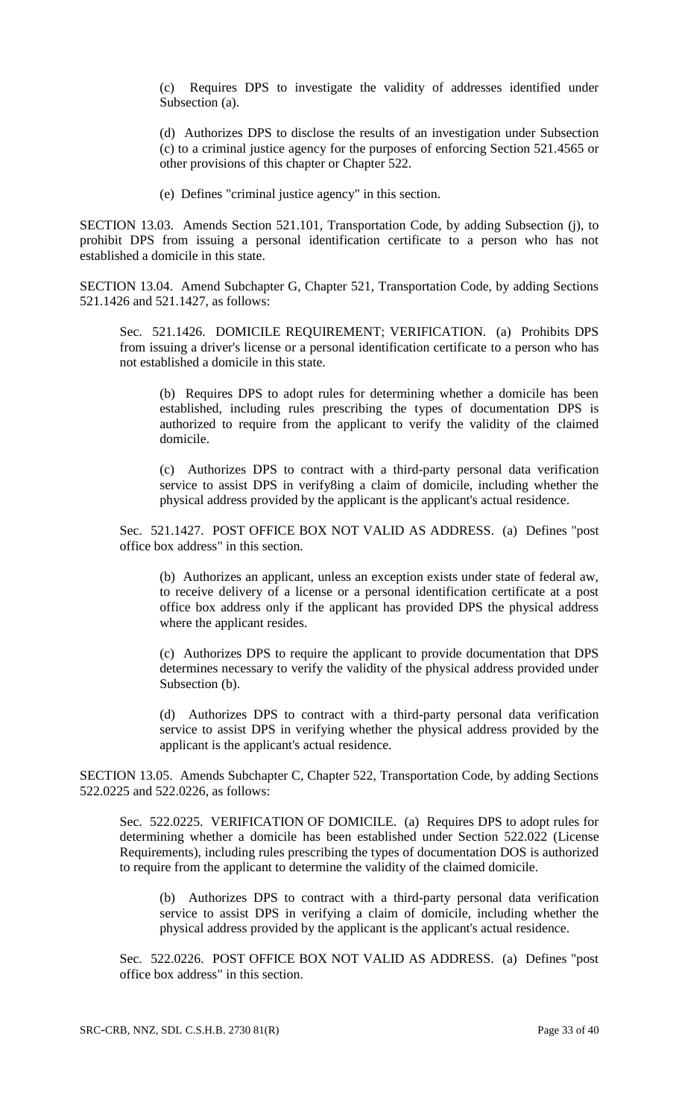(c) Requires DPS to investigate the validity of addresses identified under Subsection (a).

(d) Authorizes DPS to disclose the results of an investigation under Subsection (c) to a criminal justice agency for the purposes of enforcing Section 521.4565 or other provisions of this chapter or Chapter 522.

(e) Defines "criminal justice agency" in this section.

SECTION 13.03. Amends Section 521.101, Transportation Code, by adding Subsection (j), to prohibit DPS from issuing a personal identification certificate to a person who has not established a domicile in this state.

SECTION 13.04. Amend Subchapter G, Chapter 521, Transportation Code, by adding Sections 521.1426 and 521.1427, as follows:

Sec. 521.1426. DOMICILE REQUIREMENT; VERIFICATION. (a) Prohibits DPS from issuing a driver's license or a personal identification certificate to a person who has not established a domicile in this state.

(b) Requires DPS to adopt rules for determining whether a domicile has been established, including rules prescribing the types of documentation DPS is authorized to require from the applicant to verify the validity of the claimed domicile.

(c) Authorizes DPS to contract with a third-party personal data verification service to assist DPS in verify8ing a claim of domicile, including whether the physical address provided by the applicant is the applicant's actual residence.

Sec. 521.1427. POST OFFICE BOX NOT VALID AS ADDRESS. (a) Defines "post office box address" in this section.

(b) Authorizes an applicant, unless an exception exists under state of federal aw, to receive delivery of a license or a personal identification certificate at a post office box address only if the applicant has provided DPS the physical address where the applicant resides.

(c) Authorizes DPS to require the applicant to provide documentation that DPS determines necessary to verify the validity of the physical address provided under Subsection (b).

(d) Authorizes DPS to contract with a third-party personal data verification service to assist DPS in verifying whether the physical address provided by the applicant is the applicant's actual residence.

SECTION 13.05. Amends Subchapter C, Chapter 522, Transportation Code, by adding Sections 522.0225 and 522.0226, as follows:

Sec. 522.0225. VERIFICATION OF DOMICILE. (a) Requires DPS to adopt rules for determining whether a domicile has been established under Section 522.022 (License Requirements), including rules prescribing the types of documentation DOS is authorized to require from the applicant to determine the validity of the claimed domicile.

(b) Authorizes DPS to contract with a third-party personal data verification service to assist DPS in verifying a claim of domicile, including whether the physical address provided by the applicant is the applicant's actual residence.

Sec. 522.0226. POST OFFICE BOX NOT VALID AS ADDRESS. (a) Defines "post office box address" in this section.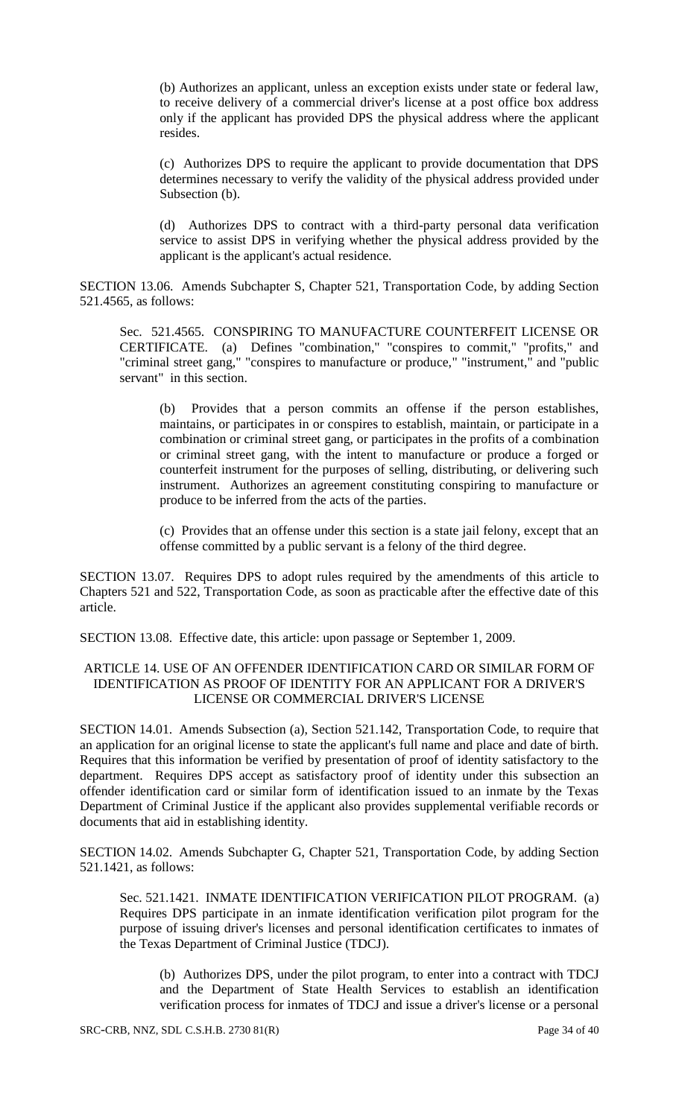(b) Authorizes an applicant, unless an exception exists under state or federal law, to receive delivery of a commercial driver's license at a post office box address only if the applicant has provided DPS the physical address where the applicant resides.

(c) Authorizes DPS to require the applicant to provide documentation that DPS determines necessary to verify the validity of the physical address provided under Subsection (b).

(d) Authorizes DPS to contract with a third-party personal data verification service to assist DPS in verifying whether the physical address provided by the applicant is the applicant's actual residence.

SECTION 13.06. Amends Subchapter S, Chapter 521, Transportation Code, by adding Section 521.4565, as follows:

Sec. 521.4565. CONSPIRING TO MANUFACTURE COUNTERFEIT LICENSE OR CERTIFICATE. (a) Defines "combination," "conspires to commit," "profits," and "criminal street gang," "conspires to manufacture or produce," "instrument," and "public servant" in this section.

(b) Provides that a person commits an offense if the person establishes, maintains, or participates in or conspires to establish, maintain, or participate in a combination or criminal street gang, or participates in the profits of a combination or criminal street gang, with the intent to manufacture or produce a forged or counterfeit instrument for the purposes of selling, distributing, or delivering such instrument. Authorizes an agreement constituting conspiring to manufacture or produce to be inferred from the acts of the parties.

(c) Provides that an offense under this section is a state jail felony, except that an offense committed by a public servant is a felony of the third degree.

SECTION 13.07. Requires DPS to adopt rules required by the amendments of this article to Chapters 521 and 522, Transportation Code, as soon as practicable after the effective date of this article.

SECTION 13.08. Effective date, this article: upon passage or September 1, 2009.

# ARTICLE 14. USE OF AN OFFENDER IDENTIFICATION CARD OR SIMILAR FORM OF IDENTIFICATION AS PROOF OF IDENTITY FOR AN APPLICANT FOR A DRIVER'S LICENSE OR COMMERCIAL DRIVER'S LICENSE

SECTION 14.01. Amends Subsection (a), Section 521.142, Transportation Code, to require that an application for an original license to state the applicant's full name and place and date of birth. Requires that this information be verified by presentation of proof of identity satisfactory to the department. Requires DPS accept as satisfactory proof of identity under this subsection an offender identification card or similar form of identification issued to an inmate by the Texas Department of Criminal Justice if the applicant also provides supplemental verifiable records or documents that aid in establishing identity.

SECTION 14.02. Amends Subchapter G, Chapter 521, Transportation Code, by adding Section 521.1421, as follows:

Sec. 521.1421. INMATE IDENTIFICATION VERIFICATION PILOT PROGRAM. (a) Requires DPS participate in an inmate identification verification pilot program for the purpose of issuing driver's licenses and personal identification certificates to inmates of the Texas Department of Criminal Justice (TDCJ).

(b) Authorizes DPS, under the pilot program, to enter into a contract with TDCJ and the Department of State Health Services to establish an identification verification process for inmates of TDCJ and issue a driver's license or a personal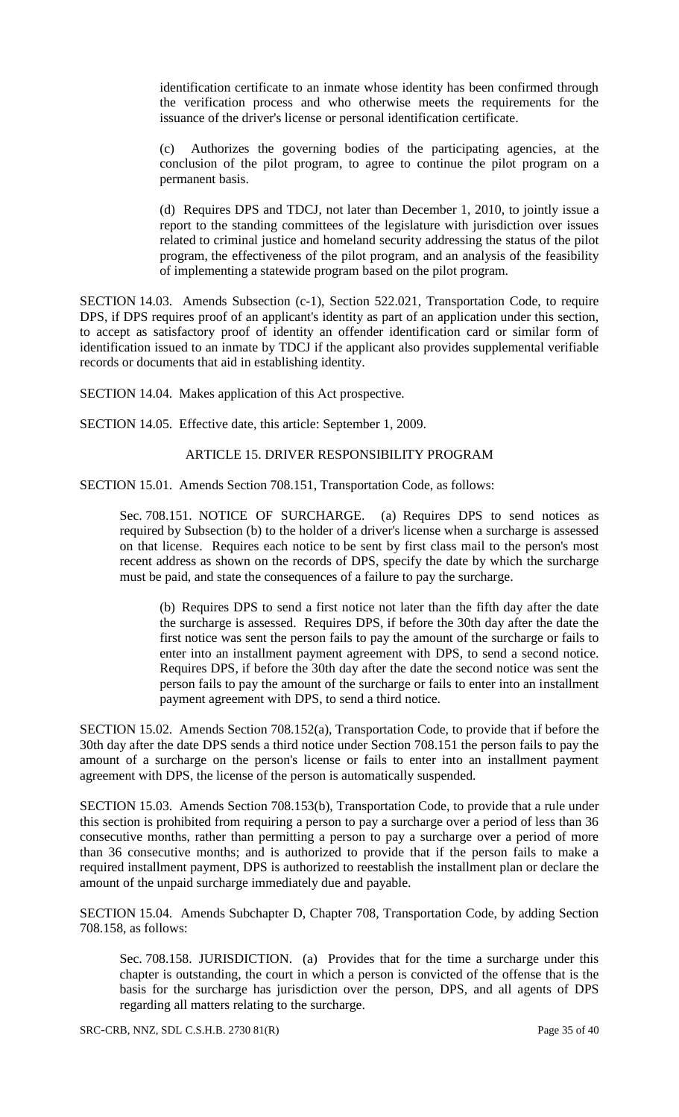identification certificate to an inmate whose identity has been confirmed through the verification process and who otherwise meets the requirements for the issuance of the driver's license or personal identification certificate.

Authorizes the governing bodies of the participating agencies, at the conclusion of the pilot program, to agree to continue the pilot program on a permanent basis.

(d) Requires DPS and TDCJ, not later than December 1, 2010, to jointly issue a report to the standing committees of the legislature with jurisdiction over issues related to criminal justice and homeland security addressing the status of the pilot program, the effectiveness of the pilot program, and an analysis of the feasibility of implementing a statewide program based on the pilot program.

SECTION 14.03. Amends Subsection (c-1), Section 522.021, Transportation Code, to require DPS, if DPS requires proof of an applicant's identity as part of an application under this section, to accept as satisfactory proof of identity an offender identification card or similar form of identification issued to an inmate by TDCJ if the applicant also provides supplemental verifiable records or documents that aid in establishing identity.

SECTION 14.04. Makes application of this Act prospective.

SECTION 14.05. Effective date, this article: September 1, 2009.

### ARTICLE 15. DRIVER RESPONSIBILITY PROGRAM

SECTION 15.01. Amends Section 708.151, Transportation Code, as follows:

Sec. 708.151. NOTICE OF SURCHARGE. (a) Requires DPS to send notices as required by Subsection (b) to the holder of a driver's license when a surcharge is assessed on that license. Requires each notice to be sent by first class mail to the person's most recent address as shown on the records of DPS, specify the date by which the surcharge must be paid, and state the consequences of a failure to pay the surcharge.

(b) Requires DPS to send a first notice not later than the fifth day after the date the surcharge is assessed. Requires DPS, if before the 30th day after the date the first notice was sent the person fails to pay the amount of the surcharge or fails to enter into an installment payment agreement with DPS, to send a second notice. Requires DPS, if before the 30th day after the date the second notice was sent the person fails to pay the amount of the surcharge or fails to enter into an installment payment agreement with DPS, to send a third notice.

SECTION 15.02. Amends Section 708.152(a), Transportation Code, to provide that if before the 30th day after the date DPS sends a third notice under Section 708.151 the person fails to pay the amount of a surcharge on the person's license or fails to enter into an installment payment agreement with DPS, the license of the person is automatically suspended.

SECTION 15.03. Amends Section 708.153(b), Transportation Code, to provide that a rule under this section is prohibited from requiring a person to pay a surcharge over a period of less than 36 consecutive months, rather than permitting a person to pay a surcharge over a period of more than 36 consecutive months; and is authorized to provide that if the person fails to make a required installment payment, DPS is authorized to reestablish the installment plan or declare the amount of the unpaid surcharge immediately due and payable.

SECTION 15.04. Amends Subchapter D, Chapter 708, Transportation Code, by adding Section 708.158, as follows:

Sec. 708.158. JURISDICTION. (a) Provides that for the time a surcharge under this chapter is outstanding, the court in which a person is convicted of the offense that is the basis for the surcharge has jurisdiction over the person, DPS, and all agents of DPS regarding all matters relating to the surcharge.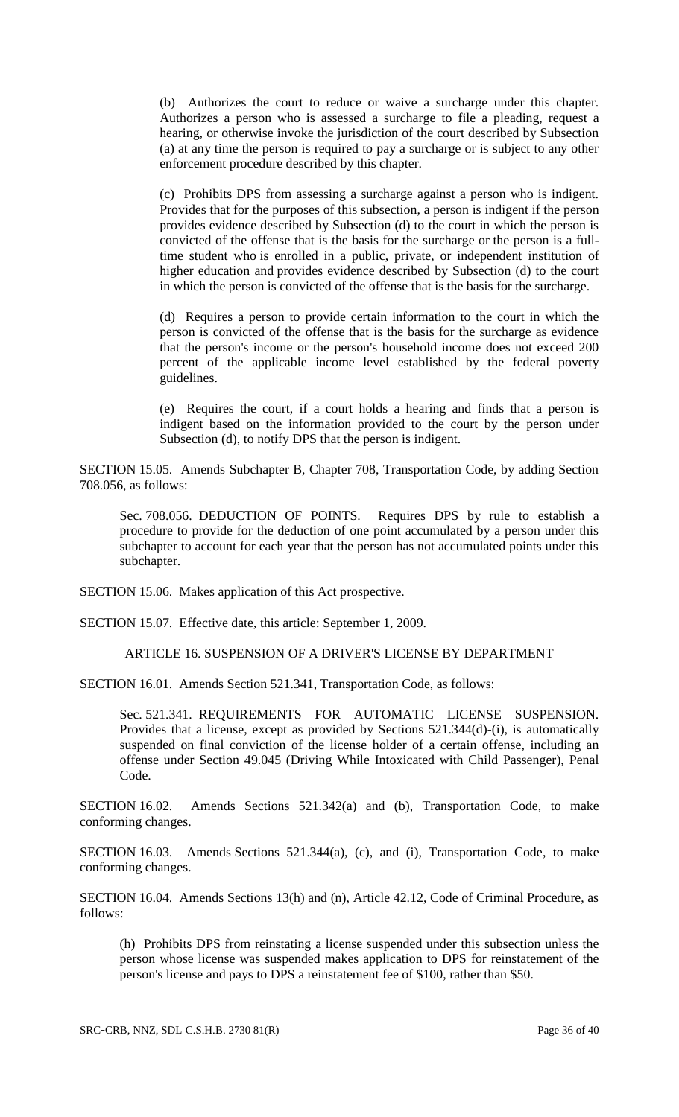(b) Authorizes the court to reduce or waive a surcharge under this chapter. Authorizes a person who is assessed a surcharge to file a pleading, request a hearing, or otherwise invoke the jurisdiction of the court described by Subsection (a) at any time the person is required to pay a surcharge or is subject to any other enforcement procedure described by this chapter.

(c) Prohibits DPS from assessing a surcharge against a person who is indigent. Provides that for the purposes of this subsection, a person is indigent if the person provides evidence described by Subsection (d) to the court in which the person is convicted of the offense that is the basis for the surcharge or the person is a fulltime student who is enrolled in a public, private, or independent institution of higher education and provides evidence described by Subsection (d) to the court in which the person is convicted of the offense that is the basis for the surcharge.

(d) Requires a person to provide certain information to the court in which the person is convicted of the offense that is the basis for the surcharge as evidence that the person's income or the person's household income does not exceed 200 percent of the applicable income level established by the federal poverty guidelines.

(e) Requires the court, if a court holds a hearing and finds that a person is indigent based on the information provided to the court by the person under Subsection (d), to notify DPS that the person is indigent.

SECTION 15.05. Amends Subchapter B, Chapter 708, Transportation Code, by adding Section 708.056, as follows:

Sec. 708.056. DEDUCTION OF POINTS. Requires DPS by rule to establish a procedure to provide for the deduction of one point accumulated by a person under this subchapter to account for each year that the person has not accumulated points under this subchapter.

SECTION 15.06. Makes application of this Act prospective.

SECTION 15.07. Effective date, this article: September 1, 2009.

ARTICLE 16. SUSPENSION OF A DRIVER'S LICENSE BY DEPARTMENT

SECTION 16.01. Amends Section 521.341, Transportation Code, as follows:

Sec. 521.341. REQUIREMENTS FOR AUTOMATIC LICENSE SUSPENSION. Provides that a license, except as provided by Sections 521.344(d)-(i), is automatically suspended on final conviction of the license holder of a certain offense, including an offense under Section 49.045 (Driving While Intoxicated with Child Passenger), Penal Code.

SECTION 16.02. Amends Sections 521.342(a) and (b), Transportation Code, to make conforming changes.

SECTION 16.03. Amends Sections 521.344(a), (c), and (i), Transportation Code, to make conforming changes.

SECTION 16.04. Amends Sections 13(h) and (n), Article 42.12, Code of Criminal Procedure, as follows:

(h) Prohibits DPS from reinstating a license suspended under this subsection unless the person whose license was suspended makes application to DPS for reinstatement of the person's license and pays to DPS a reinstatement fee of \$100, rather than \$50.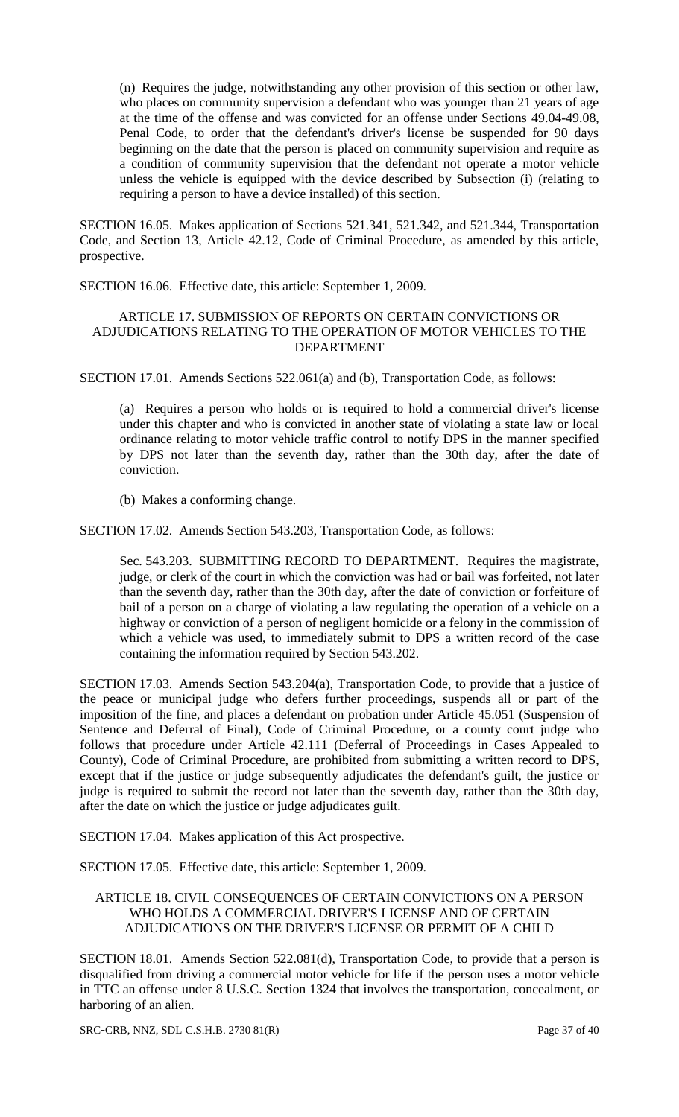(n) Requires the judge, notwithstanding any other provision of this section or other law, who places on community supervision a defendant who was younger than 21 years of age at the time of the offense and was convicted for an offense under Sections 49.04-49.08, Penal Code, to order that the defendant's driver's license be suspended for 90 days beginning on the date that the person is placed on community supervision and require as a condition of community supervision that the defendant not operate a motor vehicle unless the vehicle is equipped with the device described by Subsection (i) (relating to requiring a person to have a device installed) of this section.

SECTION 16.05. Makes application of Sections 521.341, 521.342, and 521.344, Transportation Code, and Section 13, Article 42.12, Code of Criminal Procedure, as amended by this article, prospective.

SECTION 16.06. Effective date, this article: September 1, 2009.

# ARTICLE 17. SUBMISSION OF REPORTS ON CERTAIN CONVICTIONS OR ADJUDICATIONS RELATING TO THE OPERATION OF MOTOR VEHICLES TO THE DEPARTMENT

SECTION 17.01. Amends Sections 522.061(a) and (b), Transportation Code, as follows:

(a) Requires a person who holds or is required to hold a commercial driver's license under this chapter and who is convicted in another state of violating a state law or local ordinance relating to motor vehicle traffic control to notify DPS in the manner specified by DPS not later than the seventh day, rather than the 30th day, after the date of conviction.

(b) Makes a conforming change.

SECTION 17.02. Amends Section 543.203, Transportation Code, as follows:

Sec. 543.203. SUBMITTING RECORD TO DEPARTMENT. Requires the magistrate, judge, or clerk of the court in which the conviction was had or bail was forfeited, not later than the seventh day, rather than the 30th day, after the date of conviction or forfeiture of bail of a person on a charge of violating a law regulating the operation of a vehicle on a highway or conviction of a person of negligent homicide or a felony in the commission of which a vehicle was used, to immediately submit to DPS a written record of the case containing the information required by Section 543.202.

SECTION 17.03. Amends Section 543.204(a), Transportation Code, to provide that a justice of the peace or municipal judge who defers further proceedings, suspends all or part of the imposition of the fine, and places a defendant on probation under Article 45.051 (Suspension of Sentence and Deferral of Final), Code of Criminal Procedure, or a county court judge who follows that procedure under Article 42.111 (Deferral of Proceedings in Cases Appealed to County), Code of Criminal Procedure, are prohibited from submitting a written record to DPS, except that if the justice or judge subsequently adjudicates the defendant's guilt, the justice or judge is required to submit the record not later than the seventh day, rather than the 30th day, after the date on which the justice or judge adjudicates guilt.

SECTION 17.04. Makes application of this Act prospective.

SECTION 17.05. Effective date, this article: September 1, 2009.

#### ARTICLE 18. CIVIL CONSEQUENCES OF CERTAIN CONVICTIONS ON A PERSON WHO HOLDS A COMMERCIAL DRIVER'S LICENSE AND OF CERTAIN ADJUDICATIONS ON THE DRIVER'S LICENSE OR PERMIT OF A CHILD

SECTION 18.01. Amends Section 522.081(d), Transportation Code, to provide that a person is disqualified from driving a commercial motor vehicle for life if the person uses a motor vehicle in TTC an offense under 8 U.S.C. Section 1324 that involves the transportation, concealment, or harboring of an alien.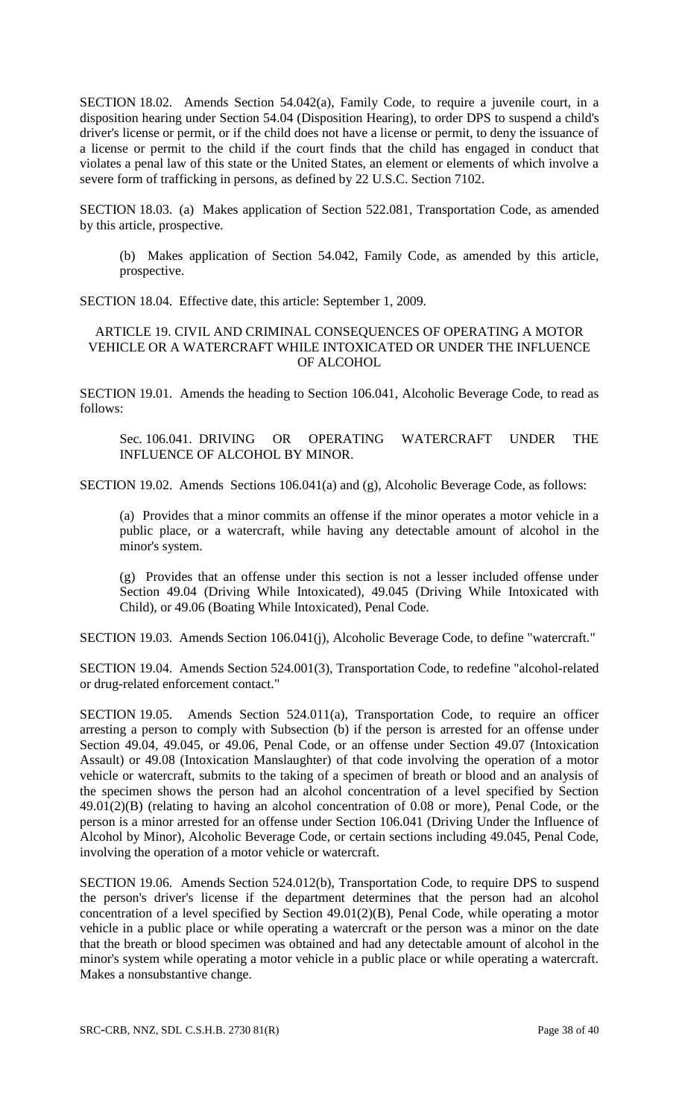SECTION 18.02. Amends Section 54.042(a), Family Code, to require a juvenile court, in a disposition hearing under Section 54.04 (Disposition Hearing), to order DPS to suspend a child's driver's license or permit, or if the child does not have a license or permit, to deny the issuance of a license or permit to the child if the court finds that the child has engaged in conduct that violates a penal law of this state or the United States, an element or elements of which involve a severe form of trafficking in persons, as defined by 22 U.S.C. Section 7102.

SECTION 18.03. (a) Makes application of Section 522.081, Transportation Code, as amended by this article, prospective.

(b) Makes application of Section 54.042, Family Code, as amended by this article, prospective.

SECTION 18.04. Effective date, this article: September 1, 2009.

### ARTICLE 19. CIVIL AND CRIMINAL CONSEQUENCES OF OPERATING A MOTOR VEHICLE OR A WATERCRAFT WHILE INTOXICATED OR UNDER THE INFLUENCE OF ALCOHOL

SECTION 19.01. Amends the heading to Section 106.041, Alcoholic Beverage Code, to read as follows:

Sec. 106.041. DRIVING OR OPERATING WATERCRAFT UNDER THE INFLUENCE OF ALCOHOL BY MINOR.

SECTION 19.02. Amends Sections 106.041(a) and (g), Alcoholic Beverage Code, as follows:

(a) Provides that a minor commits an offense if the minor operates a motor vehicle in a public place, or a watercraft, while having any detectable amount of alcohol in the minor's system.

(g) Provides that an offense under this section is not a lesser included offense under Section 49.04 (Driving While Intoxicated), 49.045 (Driving While Intoxicated with Child), or 49.06 (Boating While Intoxicated), Penal Code.

SECTION 19.03. Amends Section 106.041(j), Alcoholic Beverage Code, to define "watercraft."

SECTION 19.04. Amends Section 524.001(3), Transportation Code, to redefine "alcohol-related or drug-related enforcement contact."

SECTION 19.05. Amends Section 524.011(a), Transportation Code, to require an officer arresting a person to comply with Subsection (b) if the person is arrested for an offense under Section 49.04, 49.045, or 49.06, Penal Code, or an offense under Section 49.07 (Intoxication Assault) or 49.08 (Intoxication Manslaughter) of that code involving the operation of a motor vehicle or watercraft, submits to the taking of a specimen of breath or blood and an analysis of the specimen shows the person had an alcohol concentration of a level specified by Section 49.01(2)(B) (relating to having an alcohol concentration of 0.08 or more), Penal Code, or the person is a minor arrested for an offense under Section 106.041 (Driving Under the Influence of Alcohol by Minor), Alcoholic Beverage Code, or certain sections including 49.045, Penal Code, involving the operation of a motor vehicle or watercraft.

SECTION 19.06. Amends Section 524.012(b), Transportation Code, to require DPS to suspend the person's driver's license if the department determines that the person had an alcohol concentration of a level specified by Section 49.01(2)(B), Penal Code, while operating a motor vehicle in a public place or while operating a watercraft or the person was a minor on the date that the breath or blood specimen was obtained and had any detectable amount of alcohol in the minor's system while operating a motor vehicle in a public place or while operating a watercraft. Makes a nonsubstantive change.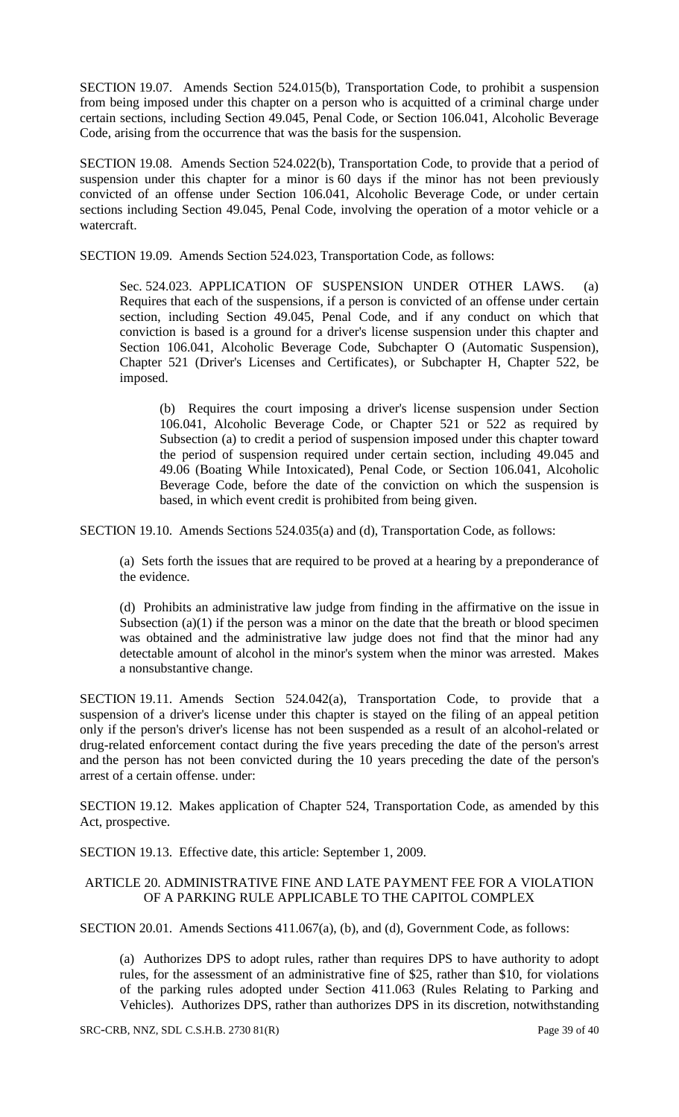SECTION 19.07. Amends Section 524.015(b), Transportation Code, to prohibit a suspension from being imposed under this chapter on a person who is acquitted of a criminal charge under certain sections, including Section 49.045, Penal Code, or Section 106.041, Alcoholic Beverage Code, arising from the occurrence that was the basis for the suspension.

SECTION 19.08. Amends Section 524.022(b), Transportation Code, to provide that a period of suspension under this chapter for a minor is 60 days if the minor has not been previously convicted of an offense under Section 106.041, Alcoholic Beverage Code, or under certain sections including Section 49.045, Penal Code, involving the operation of a motor vehicle or a watercraft.

SECTION 19.09. Amends Section 524.023, Transportation Code, as follows:

Sec. 524.023. APPLICATION OF SUSPENSION UNDER OTHER LAWS. (a) Requires that each of the suspensions, if a person is convicted of an offense under certain section, including Section 49.045, Penal Code, and if any conduct on which that conviction is based is a ground for a driver's license suspension under this chapter and Section 106.041, Alcoholic Beverage Code, Subchapter O (Automatic Suspension), Chapter 521 (Driver's Licenses and Certificates), or Subchapter H, Chapter 522, be imposed.

(b) Requires the court imposing a driver's license suspension under Section 106.041, Alcoholic Beverage Code, or Chapter 521 or 522 as required by Subsection (a) to credit a period of suspension imposed under this chapter toward the period of suspension required under certain section, including 49.045 and 49.06 (Boating While Intoxicated), Penal Code, or Section 106.041, Alcoholic Beverage Code, before the date of the conviction on which the suspension is based, in which event credit is prohibited from being given.

SECTION 19.10. Amends Sections 524.035(a) and (d), Transportation Code, as follows:

(a) Sets forth the issues that are required to be proved at a hearing by a preponderance of the evidence.

(d) Prohibits an administrative law judge from finding in the affirmative on the issue in Subsection  $(a)(1)$  if the person was a minor on the date that the breath or blood specimen was obtained and the administrative law judge does not find that the minor had any detectable amount of alcohol in the minor's system when the minor was arrested. Makes a nonsubstantive change.

SECTION 19.11. Amends Section 524.042(a), Transportation Code, to provide that a suspension of a driver's license under this chapter is stayed on the filing of an appeal petition only if the person's driver's license has not been suspended as a result of an alcohol-related or drug-related enforcement contact during the five years preceding the date of the person's arrest and the person has not been convicted during the 10 years preceding the date of the person's arrest of a certain offense. under:

SECTION 19.12. Makes application of Chapter 524, Transportation Code, as amended by this Act, prospective.

SECTION 19.13. Effective date, this article: September 1, 2009.

### ARTICLE 20. ADMINISTRATIVE FINE AND LATE PAYMENT FEE FOR A VIOLATION OF A PARKING RULE APPLICABLE TO THE CAPITOL COMPLEX

SECTION 20.01. Amends Sections 411.067(a), (b), and (d), Government Code, as follows:

(a) Authorizes DPS to adopt rules, rather than requires DPS to have authority to adopt rules, for the assessment of an administrative fine of \$25, rather than \$10, for violations of the parking rules adopted under Section 411.063 (Rules Relating to Parking and Vehicles). Authorizes DPS, rather than authorizes DPS in its discretion, notwithstanding